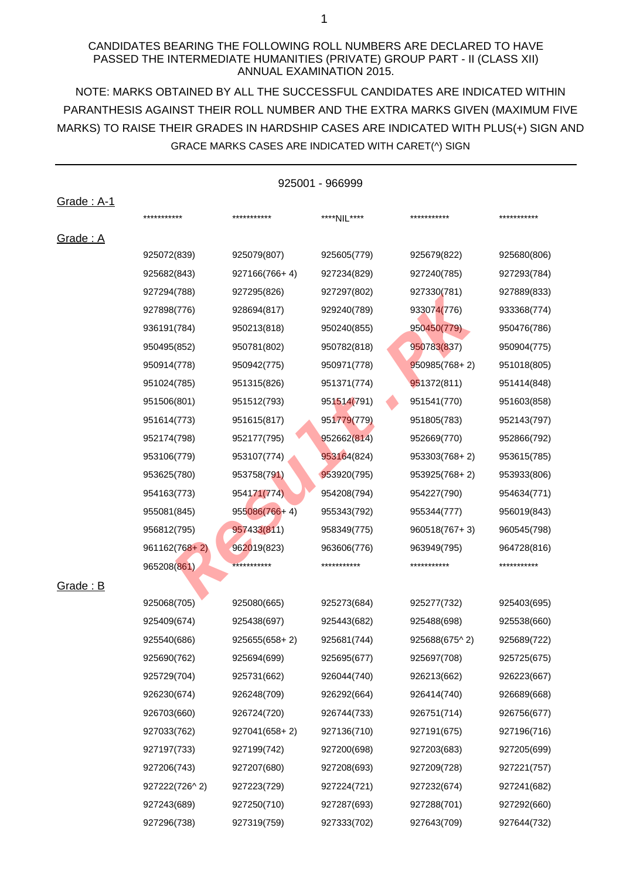### CANDIDATES BEARING THE FOLLOWING ROLL NUMBERS ARE DECLARED TO HAVE PASSED THE INTERMEDIATE HUMANITIES (PRIVATE) GROUP PART - II (CLASS XII) ANNUAL EXAMINATION 2015.

NOTE: MARKS OBTAINED BY ALL THE SUCCESSFUL CANDIDATES ARE INDICATED WITHIN MARKS) TO RAISE THEIR GRADES IN HARDSHIP CASES ARE INDICATED WITH PLUS(+) SIGN AND PARANTHESIS AGAINST THEIR ROLL NUMBER AND THE EXTRA MARKS GIVEN (MAXIMUM FIVE GRACE MARKS CASES ARE INDICATED WITH CARET(^) SIGN

| 925001 - 966999   |                 |                 |             |                   |             |
|-------------------|-----------------|-----------------|-------------|-------------------|-------------|
| <u>Grade: A-1</u> |                 |                 |             |                   |             |
|                   | ***********     | ***********     | ****NIL**** | ***********       | *********** |
| <u> Grade : A</u> |                 |                 |             |                   |             |
|                   | 925072(839)     | 925079(807)     | 925605(779) | 925679(822)       | 925680(806) |
|                   | 925682(843)     | 927166(766+4)   | 927234(829) | 927240(785)       | 927293(784) |
|                   | 927294(788)     | 927295(826)     | 927297(802) | 927330(781)       | 927889(833) |
|                   | 927898(776)     | 928694(817)     | 929240(789) | 933074(776)       | 933368(774) |
|                   | 936191(784)     | 950213(818)     | 950240(855) | 950450(779)       | 950476(786) |
|                   | 950495(852)     | 950781(802)     | 950782(818) | 950783(837)       | 950904(775) |
|                   | 950914(778)     | 950942(775)     | 950971(778) | $950985(768+2)$   | 951018(805) |
|                   | 951024(785)     | 951315(826)     | 951371(774) | 951372(811)       | 951414(848) |
|                   | 951506(801)     | 951512(793)     | 951514(791) | 951541(770)       | 951603(858) |
|                   | 951614(773)     | 951615(817)     | 951779(779) | 951805(783)       | 952143(797) |
|                   | 952174(798)     | 952177(795)     | 952662(814) | 952669(770)       | 952866(792) |
|                   | 953106(779)     | 953107(774)     | 953164(824) | 953303(768+2)     | 953615(785) |
|                   | 953625(780)     | 953758(791)     | 953920(795) | 953925(768+2)     | 953933(806) |
|                   | 954163(773)     | 954171(774)     | 954208(794) | 954227(790)       | 954634(771) |
|                   | 955081(845)     | $955086(766+4)$ | 955343(792) | 955344(777)       | 956019(843) |
|                   | 956812(795)     | 957433(811)     | 958349(775) | $960518(767 + 3)$ | 960545(798) |
|                   | $961162(768+2)$ | 962019(823)     | 963606(776) | 963949(795)       | 964728(816) |
|                   | 965208(861)     | ***********     | *********** | ***********       | *********** |
| <u> Grade : B</u> |                 |                 |             |                   |             |
|                   | 925068(705)     | 925080(665)     | 925273(684) | 925277(732)       | 925403(695) |
|                   | 925409(674)     | 925438(697)     | 925443(682) | 925488(698)       | 925538(660) |
|                   | 925540(686)     | $925655(658+2)$ | 925681(744) | 925688(675^2)     | 925689(722) |
|                   | 925690(762)     | 925694(699)     | 925695(677) | 925697(708)       | 925725(675) |
|                   | 925729(704)     | 925731(662)     | 926044(740) | 926213(662)       | 926223(667) |
|                   | 926230(674)     | 926248(709)     | 926292(664) | 926414(740)       | 926689(668) |
|                   | 926703(660)     | 926724(720)     | 926744(733) | 926751(714)       | 926756(677) |
|                   | 927033(762)     | 927041(658+2)   | 927136(710) | 927191(675)       | 927196(716) |
|                   | 927197(733)     | 927199(742)     | 927200(698) | 927203(683)       | 927205(699) |
|                   | 927206(743)     | 927207(680)     | 927208(693) | 927209(728)       | 927221(757) |
|                   | 927222(726^2)   | 927223(729)     | 927224(721) | 927232(674)       | 927241(682) |
|                   | 927243(689)     | 927250(710)     | 927287(693) | 927288(701)       | 927292(660) |
|                   | 927296(738)     | 927319(759)     | 927333(702) | 927643(709)       | 927644(732) |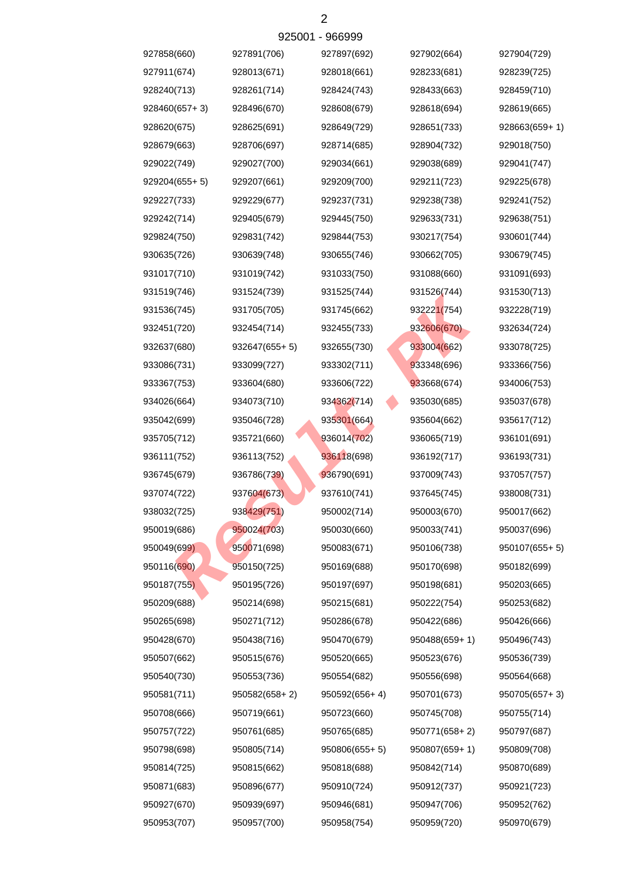| 927858(660)    | 927891(706)     | 927897(692)   | 927902(664)   | 927904(729)     |
|----------------|-----------------|---------------|---------------|-----------------|
| 927911(674)    | 928013(671)     | 928018(661)   | 928233(681)   | 928239(725)     |
| 928240(713)    | 928261(714)     | 928424(743)   | 928433(663)   | 928459(710)     |
| 928460(657+3)  | 928496(670)     | 928608(679)   | 928618(694)   | 928619(665)     |
| 928620(675)    | 928625(691)     | 928649(729)   | 928651(733)   | $928663(659+1)$ |
| 928679(663)    | 928706(697)     | 928714(685)   | 928904(732)   | 929018(750)     |
| 929022(749)    | 929027(700)     | 929034(661)   | 929038(689)   | 929041(747)     |
| 929204(655+ 5) | 929207(661)     | 929209(700)   | 929211(723)   | 929225(678)     |
| 929227(733)    | 929229(677)     | 929237(731)   | 929238(738)   | 929241(752)     |
| 929242(714)    | 929405(679)     | 929445(750)   | 929633(731)   | 929638(751)     |
| 929824(750)    | 929831(742)     | 929844(753)   | 930217(754)   | 930601(744)     |
| 930635(726)    | 930639(748)     | 930655(746)   | 930662(705)   | 930679(745)     |
| 931017(710)    | 931019(742)     | 931033(750)   | 931088(660)   | 931091(693)     |
| 931519(746)    | 931524(739)     | 931525(744)   | 931526(744)   | 931530(713)     |
| 931536(745)    | 931705(705)     | 931745(662)   | 932221(754)   | 932228(719)     |
| 932451(720)    | 932454(714)     | 932455(733)   | 932606(670)   | 932634(724)     |
| 932637(680)    | $932647(655+5)$ | 932655(730)   | 933004(662)   | 933078(725)     |
| 933086(731)    | 933099(727)     | 933302(711)   | 933348(696)   | 933366(756)     |
| 933367(753)    | 933604(680)     | 933606(722)   | 933668(674)   | 934006(753)     |
| 934026(664)    | 934073(710)     | 934362(714)   | 935030(685)   | 935037(678)     |
| 935042(699)    | 935046(728)     | 935301(664)   | 935604(662)   | 935617(712)     |
| 935705(712)    | 935721(660)     | 936014(702)   | 936065(719)   | 936101(691)     |
| 936111(752)    | 936113(752)     | 936118(698)   | 936192(717)   | 936193(731)     |
| 936745(679)    | 936786(739)     | 936790(691)   | 937009(743)   | 937057(757)     |
| 937074(722)    | 937604(673)     | 937610(741)   | 937645(745)   | 938008(731)     |
| 938032(725)    | 938429(751)     | 950002(714)   | 950003(670)   | 950017(662)     |
| 950019(686)    | 950024(703)     | 950030(660)   | 950033(741)   | 950037(696)     |
| 950049(699)    | 950071(698)     | 950083(671)   | 950106(738)   | 950107(655+5)   |
| 950116(690)    | 950150(725)     | 950169(688)   | 950170(698)   | 950182(699)     |
| 950187(755)    | 950195(726)     | 950197(697)   | 950198(681)   | 950203(665)     |
| 950209(688)    | 950214(698)     | 950215(681)   | 950222(754)   | 950253(682)     |
| 950265(698)    | 950271(712)     | 950286(678)   | 950422(686)   | 950426(666)     |
| 950428(670)    | 950438(716)     | 950470(679)   | 950488(659+1) | 950496(743)     |
| 950507(662)    | 950515(676)     | 950520(665)   | 950523(676)   | 950536(739)     |
| 950540(730)    | 950553(736)     | 950554(682)   | 950556(698)   | 950564(668)     |
| 950581(711)    | 950582(658+2)   | 950592(656+4) | 950701(673)   | 950705(657+3)   |
| 950708(666)    | 950719(661)     | 950723(660)   | 950745(708)   | 950755(714)     |
| 950757(722)    | 950761(685)     | 950765(685)   | 950771(658+2) | 950797(687)     |
| 950798(698)    | 950805(714)     | 950806(655+5) | 950807(659+1) | 950809(708)     |
| 950814(725)    | 950815(662)     | 950818(688)   | 950842(714)   | 950870(689)     |
| 950871(683)    | 950896(677)     | 950910(724)   | 950912(737)   | 950921(723)     |
| 950927(670)    | 950939(697)     | 950946(681)   | 950947(706)   | 950952(762)     |
| 950953(707)    | 950957(700)     | 950958(754)   | 950959(720)   | 950970(679)     |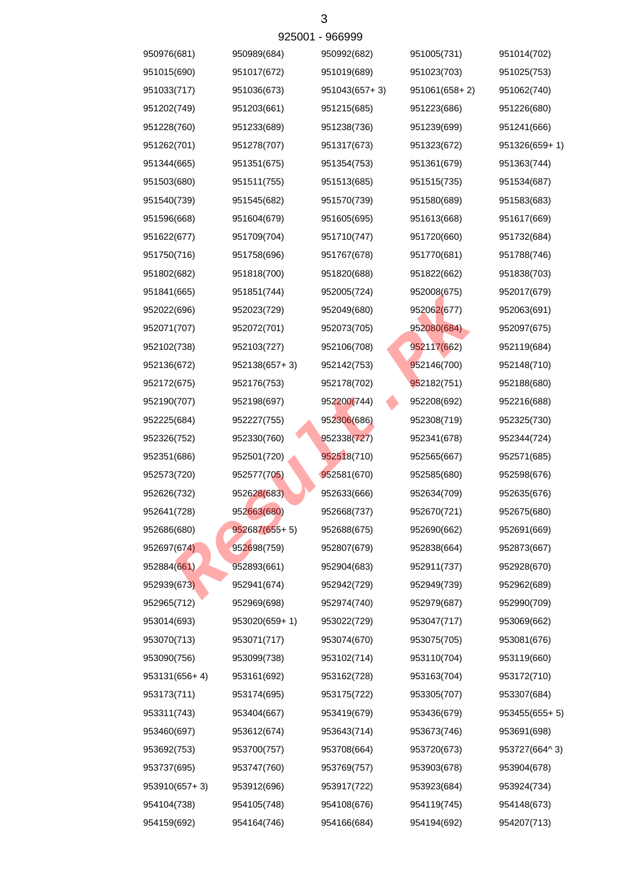|               |                 | <b>ALCOOL - ADDAAA</b> |               |               |
|---------------|-----------------|------------------------|---------------|---------------|
| 950976(681)   | 950989(684)     | 950992(682)            | 951005(731)   | 951014(702)   |
| 951015(690)   | 951017(672)     | 951019(689)            | 951023(703)   | 951025(753)   |
| 951033(717)   | 951036(673)     | $951043(657 + 3)$      | 951061(658+2) | 951062(740)   |
| 951202(749)   | 951203(661)     | 951215(685)            | 951223(686)   | 951226(680)   |
| 951228(760)   | 951233(689)     | 951238(736)            | 951239(699)   | 951241(666)   |
| 951262(701)   | 951278(707)     | 951317(673)            | 951323(672)   | 951326(659+1) |
| 951344(665)   | 951351(675)     | 951354(753)            | 951361(679)   | 951363(744)   |
| 951503(680)   | 951511(755)     | 951513(685)            | 951515(735)   | 951534(687)   |
| 951540(739)   | 951545(682)     | 951570(739)            | 951580(689)   | 951583(683)   |
| 951596(668)   | 951604(679)     | 951605(695)            | 951613(668)   | 951617(669)   |
| 951622(677)   | 951709(704)     | 951710(747)            | 951720(660)   | 951732(684)   |
| 951750(716)   | 951758(696)     | 951767(678)            | 951770(681)   | 951788(746)   |
| 951802(682)   | 951818(700)     | 951820(688)            | 951822(662)   | 951838(703)   |
| 951841(665)   | 951851(744)     | 952005(724)            | 952008(675)   | 952017(679)   |
| 952022(696)   | 952023(729)     | 952049(680)            | 952062(677)   | 952063(691)   |
| 952071(707)   | 952072(701)     | 952073(705)            | 952080(684)   | 952097(675)   |
| 952102(738)   | 952103(727)     | 952106(708)            | 952117(662)   | 952119(684)   |
| 952136(672)   | $952138(657+3)$ | 952142(753)            | 952146(700)   | 952148(710)   |
| 952172(675)   | 952176(753)     | 952178(702)            | 952182(751)   | 952188(680)   |
| 952190(707)   | 952198(697)     | 952200(744)            | 952208(692)   | 952216(688)   |
| 952225(684)   | 952227(755)     | 952306(686)            | 952308(719)   | 952325(730)   |
| 952326(752)   | 952330(760)     | 952338(727)            | 952341(678)   | 952344(724)   |
| 952351(686)   | 952501(720)     | 952518(710)            | 952565(667)   | 952571(685)   |
| 952573(720)   | 952577(705)     | 952581(670)            | 952585(680)   | 952598(676)   |
| 952626(732)   | 952628(683)     | 952633(666)            | 952634(709)   | 952635(676)   |
| 952641(728)   | 952663(680)     | 952668(737)            | 952670(721)   | 952675(680)   |
| 952686(680)   | 952687(655+5)   | 952688(675)            | 952690(662)   | 952691(669)   |
| 952697(674)   | 952698(759)     | 952807(679)            | 952838(664)   | 952873(667)   |
| 952884(661)   | 952893(661)     | 952904(683)            | 952911(737)   | 952928(670)   |
| 952939(673)   | 952941(674)     | 952942(729)            | 952949(739)   | 952962(689)   |
| 952965(712)   | 952969(698)     | 952974(740)            | 952979(687)   | 952990(709)   |
| 953014(693)   | 953020(659+1)   | 953022(729)            | 953047(717)   | 953069(662)   |
| 953070(713)   | 953071(717)     | 953074(670)            | 953075(705)   | 953081(676)   |
| 953090(756)   | 953099(738)     | 953102(714)            | 953110(704)   | 953119(660)   |
| 953131(656+4) | 953161(692)     | 953162(728)            | 953163(704)   | 953172(710)   |
| 953173(711)   | 953174(695)     | 953175(722)            | 953305(707)   | 953307(684)   |
| 953311(743)   | 953404(667)     | 953419(679)            | 953436(679)   | 953455(655+5) |
| 953460(697)   | 953612(674)     | 953643(714)            | 953673(746)   | 953691(698)   |
| 953692(753)   | 953700(757)     | 953708(664)            | 953720(673)   | 953727(664^3) |
| 953737(695)   | 953747(760)     | 953769(757)            | 953903(678)   | 953904(678)   |
| 953910(657+3) | 953912(696)     | 953917(722)            | 953923(684)   | 953924(734)   |
| 954104(738)   | 954105(748)     | 954108(676)            | 954119(745)   | 954148(673)   |
| 954159(692)   | 954164(746)     | 954166(684)            | 954194(692)   | 954207(713)   |
|               |                 |                        |               |               |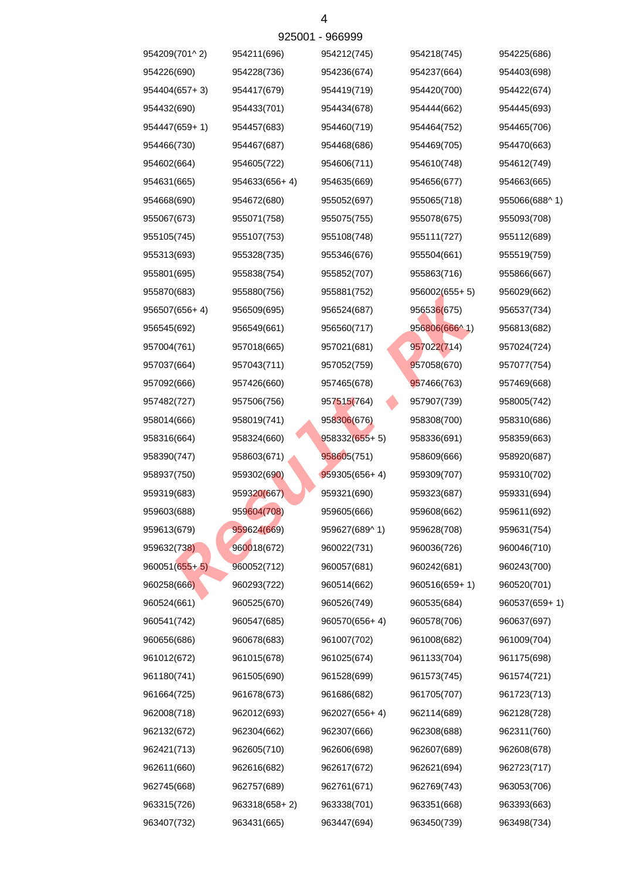| 954209(701^2)  | 954211(696)     | 954212(745)     | 954218(745)   | 954225(686)   |
|----------------|-----------------|-----------------|---------------|---------------|
| 954226(690)    | 954228(736)     | 954236(674)     | 954237(664)   | 954403(698)   |
| 954404(657+3)  | 954417(679)     | 954419(719)     | 954420(700)   | 954422(674)   |
| 954432(690)    | 954433(701)     | 954434(678)     | 954444(662)   | 954445(693)   |
| 954447(659+1)  | 954457(683)     | 954460(719)     | 954464(752)   | 954465(706)   |
| 954466(730)    | 954467(687)     | 954468(686)     | 954469(705)   | 954470(663)   |
| 954602(664)    | 954605(722)     | 954606(711)     | 954610(748)   | 954612(749)   |
| 954631(665)    | $954633(656+4)$ | 954635(669)     | 954656(677)   | 954663(665)   |
| 954668(690)    | 954672(680)     | 955052(697)     | 955065(718)   | 955066(688^1) |
| 955067(673)    | 955071(758)     | 955075(755)     | 955078(675)   | 955093(708)   |
| 955105(745)    | 955107(753)     | 955108(748)     | 955111(727)   | 955112(689)   |
| 955313(693)    | 955328(735)     | 955346(676)     | 955504(661)   | 955519(759)   |
| 955801(695)    | 955838(754)     | 955852(707)     | 955863(716)   | 955866(667)   |
| 955870(683)    | 955880(756)     | 955881(752)     | 956002(655+5) | 956029(662)   |
| 956507(656+ 4) | 956509(695)     | 956524(687)     | 956536(675)   | 956537(734)   |
| 956545(692)    | 956549(661)     | 956560(717)     | 956806(666^1) | 956813(682)   |
| 957004(761)    | 957018(665)     | 957021(681)     | 957022(714)   | 957024(724)   |
| 957037(664)    | 957043(711)     | 957052(759)     | 957058(670)   | 957077(754)   |
| 957092(666)    | 957426(660)     | 957465(678)     | 957466(763)   | 957469(668)   |
| 957482(727)    | 957506(756)     | 957515(764)     | 957907(739)   | 958005(742)   |
| 958014(666)    | 958019(741)     | 958306(676)     | 958308(700)   | 958310(686)   |
| 958316(664)    | 958324(660)     | $958332(655+5)$ | 958336(691)   | 958359(663)   |
| 958390(747)    | 958603(671)     | 958605(751)     | 958609(666)   | 958920(687)   |
| 958937(750)    | 959302(690)     | $959305(656+4)$ | 959309(707)   | 959310(702)   |
| 959319(683)    | 959320(667)     | 959321(690)     | 959323(687)   | 959331(694)   |
| 959603(688)    | 959604(708)     | 959605(666)     | 959608(662)   | 959611(692)   |
| 959613(679)    | 959624(669)     | 959627(689^1)   | 959628(708)   | 959631(754)   |
| 959632(738)    | 960018(672)     | 960022(731)     | 960036(726)   | 960046(710)   |
| 960051(655+ 5) | 960052(712)     | 960057(681)     | 960242(681)   | 960243(700)   |
| 960258(666)    | 960293(722)     | 960514(662)     | 960516(659+1) | 960520(701)   |
| 960524(661)    | 960525(670)     | 960526(749)     | 960535(684)   | 960537(659+1) |
| 960541(742)    | 960547(685)     | 960570(656+4)   | 960578(706)   | 960637(697)   |
| 960656(686)    | 960678(683)     | 961007(702)     | 961008(682)   | 961009(704)   |
| 961012(672)    | 961015(678)     | 961025(674)     | 961133(704)   | 961175(698)   |
| 961180(741)    | 961505(690)     | 961528(699)     | 961573(745)   | 961574(721)   |
| 961664(725)    | 961678(673)     | 961686(682)     | 961705(707)   | 961723(713)   |
| 962008(718)    | 962012(693)     | 962027(656+4)   | 962114(689)   | 962128(728)   |
| 962132(672)    | 962304(662)     | 962307(666)     | 962308(688)   | 962311(760)   |
| 962421(713)    | 962605(710)     | 962606(698)     | 962607(689)   | 962608(678)   |
| 962611(660)    | 962616(682)     | 962617(672)     | 962621(694)   | 962723(717)   |
| 962745(668)    | 962757(689)     | 962761(671)     | 962769(743)   | 963053(706)   |
| 963315(726)    | 963318(658+2)   | 963338(701)     | 963351(668)   | 963393(663)   |
| 963407(732)    | 963431(665)     | 963447(694)     | 963450(739)   | 963498(734)   |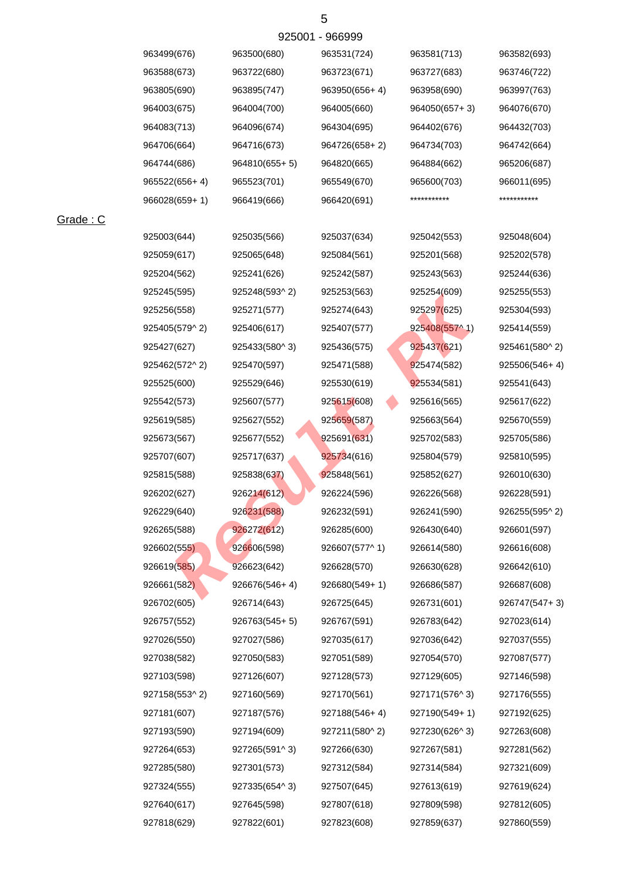| 963499(676)     | 963500(680)     | 963531(724)   | 963581(713)   | 963582(693)     |
|-----------------|-----------------|---------------|---------------|-----------------|
| 963588(673)     | 963722(680)     | 963723(671)   | 963727(683)   | 963746(722)     |
| 963805(690)     | 963895(747)     | 963950(656+4) | 963958(690)   | 963997(763)     |
| 964003(675)     | 964004(700)     | 964005(660)   | 964050(657+3) | 964076(670)     |
| 964083(713)     | 964096(674)     | 964304(695)   | 964402(676)   | 964432(703)     |
| 964706(664)     | 964716(673)     | 964726(658+2) | 964734(703)   | 964742(664)     |
| 964744(686)     | 964810(655+5)   | 964820(665)   | 964884(662)   | 965206(687)     |
| $965522(656+4)$ | 965523(701)     | 965549(670)   | 965600(703)   | 966011(695)     |
| 966028(659+1)   | 966419(666)     | 966420(691)   | ***********   | ***********     |
| 925003(644)     | 925035(566)     | 925037(634)   | 925042(553)   | 925048(604)     |
| 925059(617)     | 925065(648)     | 925084(561)   | 925201(568)   | 925202(578)     |
| 925204(562)     | 925241(626)     | 925242(587)   | 925243(563)   | 925244(636)     |
| 925245(595)     | 925248(593^2)   | 925253(563)   | 925254(609)   | 925255(553)     |
| 925256(558)     | 925271(577)     | 925274(643)   | 925297(625)   | 925304(593)     |
| 925405(579^2)   | 925406(617)     | 925407(577)   | 925408(557^1) | 925414(559)     |
| 925427(627)     | 925433(580^3)   | 925436(575)   | 925437(621)   | 925461(580^2)   |
| 925462(572^2)   | 925470(597)     | 925471(588)   | 925474(582)   | $925506(546+4)$ |
| 925525(600)     | 925529(646)     | 925530(619)   | 925534(581)   | 925541(643)     |
| 925542(573)     | 925607(577)     | 925615(608)   | 925616(565)   | 925617(622)     |
| 925619(585)     | 925627(552)     | 925659(587)   | 925663(564)   | 925670(559)     |
| 925673(567)     | 925677(552)     | 925691(631)   | 925702(583)   | 925705(586)     |
| 925707(607)     | 925717(637)     | 925734(616)   | 925804(579)   | 925810(595)     |
| 925815(588)     | 925838(637)     | 925848(561)   | 925852(627)   | 926010(630)     |
| 926202(627)     | 926214(612)     | 926224(596)   | 926226(568)   | 926228(591)     |
| 926229(640)     | 926231(588)     | 926232(591)   | 926241(590)   | 926255(595^2)   |
| 926265(588)     | 926272(612)     | 926285(600)   | 926430(640)   | 926601(597)     |
| 926602(555)     | 926606(598)     | 926607(577^1) | 926614(580)   | 926616(608)     |
| 926619(585)     | 926623(642)     | 926628(570)   | 926630(628)   | 926642(610)     |
| 926661(582)     | $926676(546+4)$ | 926680(549+1) | 926686(587)   | 926687(608)     |
| 926702(605)     | 926714(643)     | 926725(645)   | 926731(601)   | 926747(547+3)   |
| 926757(552)     | 926763(545+5)   | 926767(591)   | 926783(642)   | 927023(614)     |
| 927026(550)     | 927027(586)     | 927035(617)   | 927036(642)   | 927037(555)     |
| 927038(582)     | 927050(583)     | 927051(589)   | 927054(570)   | 927087(577)     |
| 927103(598)     | 927126(607)     | 927128(573)   | 927129(605)   | 927146(598)     |
| 927158(553^2)   | 927160(569)     | 927170(561)   | 927171(576^3) | 927176(555)     |
| 927181(607)     | 927187(576)     | 927188(546+4) | 927190(549+1) | 927192(625)     |
| 927193(590)     | 927194(609)     | 927211(580^2) | 927230(626^3) | 927263(608)     |
| 927264(653)     | 927265(591^3)   | 927266(630)   | 927267(581)   | 927281(562)     |
| 927285(580)     | 927301(573)     | 927312(584)   | 927314(584)   | 927321(609)     |
| 927324(555)     | 927335(654^3)   | 927507(645)   | 927613(619)   | 927619(624)     |
| 927640(617)     | 927645(598)     | 927807(618)   | 927809(598)   | 927812(605)     |
| 927818(629)     | 927822(601)     | 927823(608)   | 927859(637)   | 927860(559)     |

Grade : C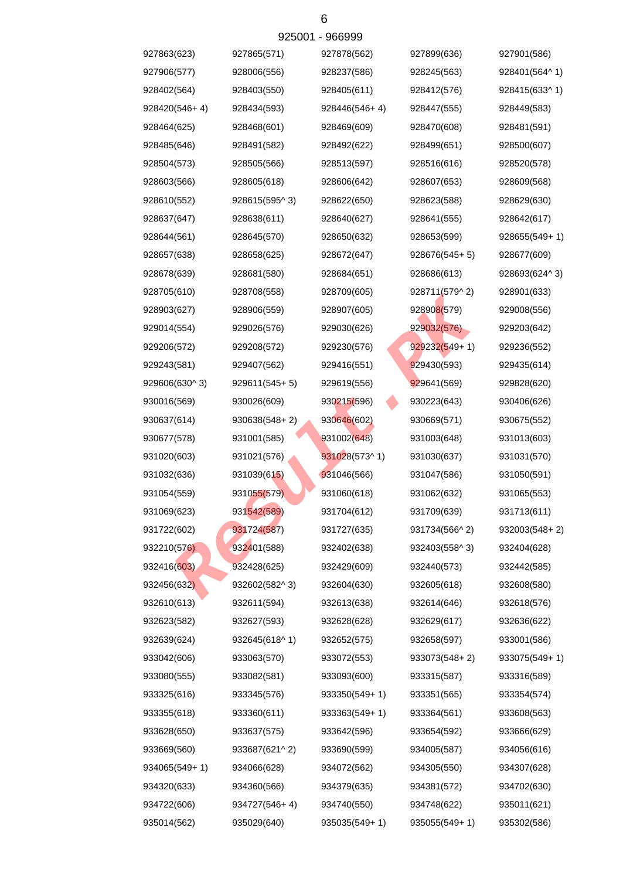|               |                 | AS200.1 - APPAAA |               |                 |
|---------------|-----------------|------------------|---------------|-----------------|
| 927863(623)   | 927865(571)     | 927878(562)      | 927899(636)   | 927901(586)     |
| 927906(577)   | 928006(556)     | 928237(586)      | 928245(563)   | 928401(564^1)   |
| 928402(564)   | 928403(550)     | 928405(611)      | 928412(576)   | 928415(633^1)   |
| 928420(546+4) | 928434(593)     | 928446(546+4)    | 928447(555)   | 928449(583)     |
| 928464(625)   | 928468(601)     | 928469(609)      | 928470(608)   | 928481(591)     |
| 928485(646)   | 928491(582)     | 928492(622)      | 928499(651)   | 928500(607)     |
| 928504(573)   | 928505(566)     | 928513(597)      | 928516(616)   | 928520(578)     |
| 928603(566)   | 928605(618)     | 928606(642)      | 928607(653)   | 928609(568)     |
| 928610(552)   | 928615(595^3)   | 928622(650)      | 928623(588)   | 928629(630)     |
| 928637(647)   | 928638(611)     | 928640(627)      | 928641(555)   | 928642(617)     |
| 928644(561)   | 928645(570)     | 928650(632)      | 928653(599)   | $928655(549+1)$ |
| 928657(638)   | 928658(625)     | 928672(647)      | 928676(545+5) | 928677(609)     |
| 928678(639)   | 928681(580)     | 928684(651)      | 928686(613)   | 928693(624^3)   |
| 928705(610)   | 928708(558)     | 928709(605)      | 928711(579^2) | 928901(633)     |
| 928903(627)   | 928906(559)     | 928907(605)      | 928908(579)   | 929008(556)     |
| 929014(554)   | 929026(576)     | 929030(626)      | 929032(576)   | 929203(642)     |
| 929206(572)   | 929208(572)     | 929230(576)      | 929232(549+1) | 929236(552)     |
| 929243(581)   | 929407(562)     | 929416(551)      | 929430(593)   | 929435(614)     |
| 929606(630^3) | $929611(545+5)$ | 929619(556)      | 929641(569)   | 929828(620)     |
| 930016(569)   | 930026(609)     | 930215(596)      | 930223(643)   | 930406(626)     |
| 930637(614)   | $930638(548+2)$ | 930646(602)      | 930669(571)   | 930675(552)     |
| 930677(578)   | 931001(585)     | 931002(648)      | 931003(648)   | 931013(603)     |
| 931020(603)   | 931021(576)     | 931028(573^1)    | 931030(637)   | 931031(570)     |
| 931032(636)   | 931039(615)     | 931046(566)      | 931047(586)   | 931050(591)     |
| 931054(559)   | 931055(579)     | 931060(618)      | 931062(632)   | 931065(553)     |
| 931069(623)   | 931542(589)     | 931704(612)      | 931709(639)   | 931713(611)     |
| 931722(602)   | 931724(587)     | 931727(635)      | 931734(566^2) | 932003(548+2)   |
| 932210(576)   | 932401(588)     | 932402(638)      | 932403(558^3) | 932404(628)     |
| 932416(603)   | 932428(625)     | 932429(609)      | 932440(573)   | 932442(585)     |
| 932456(632)   | 932602(582^3)   | 932604(630)      | 932605(618)   | 932608(580)     |
| 932610(613)   | 932611(594)     | 932613(638)      | 932614(646)   | 932618(576)     |
| 932623(582)   | 932627(593)     | 932628(628)      | 932629(617)   | 932636(622)     |
| 932639(624)   | 932645(618^1)   | 932652(575)      | 932658(597)   | 933001(586)     |
| 933042(606)   | 933063(570)     | 933072(553)      | 933073(548+2) | $933075(549+1)$ |
| 933080(555)   | 933082(581)     | 933093(600)      | 933315(587)   | 933316(589)     |
| 933325(616)   | 933345(576)     | 933350(549+1)    | 933351(565)   | 933354(574)     |
| 933355(618)   | 933360(611)     | 933363(549+1)    | 933364(561)   | 933608(563)     |
| 933628(650)   | 933637(575)     | 933642(596)      | 933654(592)   | 933666(629)     |
| 933669(560)   | 933687(621^2)   | 933690(599)      | 934005(587)   | 934056(616)     |
| 934065(549+1) | 934066(628)     | 934072(562)      | 934305(550)   | 934307(628)     |
| 934320(633)   | 934360(566)     | 934379(635)      | 934381(572)   | 934702(630)     |
| 934722(606)   | 934727(546+4)   | 934740(550)      | 934748(622)   | 935011(621)     |
| 935014(562)   | 935029(640)     | 935035(549+1)    | 935055(549+1) | 935302(586)     |

 $025001$   $066000$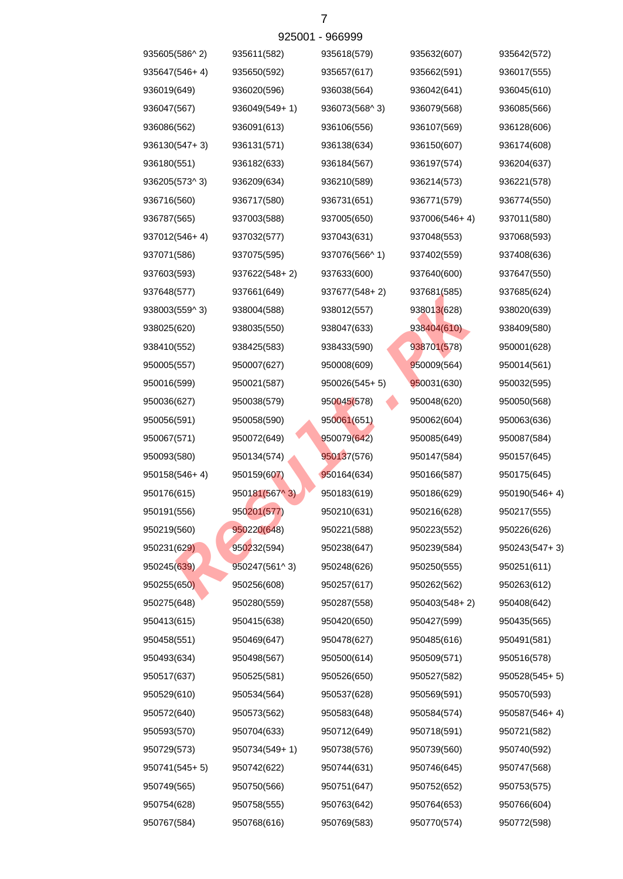| 935605(586^2) | 935611(582)     | 935618(579)     | 935632(607)   | 935642(572)   |
|---------------|-----------------|-----------------|---------------|---------------|
| 935647(546+4) | 935650(592)     | 935657(617)     | 935662(591)   | 936017(555)   |
| 936019(649)   | 936020(596)     | 936038(564)     | 936042(641)   | 936045(610)   |
| 936047(567)   | 936049(549+1)   | 936073(568^3)   | 936079(568)   | 936085(566)   |
| 936086(562)   | 936091(613)     | 936106(556)     | 936107(569)   | 936128(606)   |
| 936130(547+3) | 936131(571)     | 936138(634)     | 936150(607)   | 936174(608)   |
| 936180(551)   | 936182(633)     | 936184(567)     | 936197(574)   | 936204(637)   |
| 936205(573^3) | 936209(634)     | 936210(589)     | 936214(573)   | 936221(578)   |
| 936716(560)   | 936717(580)     | 936731(651)     | 936771(579)   | 936774(550)   |
| 936787(565)   | 937003(588)     | 937005(650)     | 937006(546+4) | 937011(580)   |
| 937012(546+4) | 937032(577)     | 937043(631)     | 937048(553)   | 937068(593)   |
| 937071(586)   | 937075(595)     | 937076(566^1)   | 937402(559)   | 937408(636)   |
| 937603(593)   | $937622(548+2)$ | 937633(600)     | 937640(600)   | 937647(550)   |
| 937648(577)   | 937661(649)     | 937677(548+2)   | 937681(585)   | 937685(624)   |
| 938003(559^3) | 938004(588)     | 938012(557)     | 938013(628)   | 938020(639)   |
| 938025(620)   | 938035(550)     | 938047(633)     | 938404(610)   | 938409(580)   |
| 938410(552)   | 938425(583)     | 938433(590)     | 938701(578)   | 950001(628)   |
| 950005(557)   | 950007(627)     | 950008(609)     | 950009(564)   | 950014(561)   |
| 950016(599)   | 950021(587)     | $950026(545+5)$ | 950031(630)   | 950032(595)   |
| 950036(627)   | 950038(579)     | 950045(578)     | 950048(620)   | 950050(568)   |
| 950056(591)   | 950058(590)     | 950061(651)     | 950062(604)   | 950063(636)   |
| 950067(571)   | 950072(649)     | 950079(642)     | 950085(649)   | 950087(584)   |
| 950093(580)   | 950134(574)     | 950137(576)     | 950147(584)   | 950157(645)   |
| 950158(546+4) | 950159(607)     | 950164(634)     | 950166(587)   | 950175(645)   |
| 950176(615)   | 950181(567^3)   | 950183(619)     | 950186(629)   | 950190(546+4) |
| 950191(556)   | 950201(577)     | 950210(631)     | 950216(628)   | 950217(555)   |
| 950219(560)   | 950220(648)     | 950221(588)     | 950223(552)   | 950226(626)   |
| 950231(629)   | 950232(594)     | 950238(647)     | 950239(584)   | 950243(547+3) |
| 950245(639)   | 950247(561^3)   | 950248(626)     | 950250(555)   | 950251(611)   |
| 950255(650)   | 950256(608)     | 950257(617)     | 950262(562)   | 950263(612)   |
| 950275(648)   | 950280(559)     | 950287(558)     | 950403(548+2) | 950408(642)   |
| 950413(615)   | 950415(638)     | 950420(650)     | 950427(599)   | 950435(565)   |
| 950458(551)   | 950469(647)     | 950478(627)     | 950485(616)   | 950491(581)   |
| 950493(634)   | 950498(567)     | 950500(614)     | 950509(571)   | 950516(578)   |
| 950517(637)   | 950525(581)     | 950526(650)     | 950527(582)   | 950528(545+5) |
| 950529(610)   | 950534(564)     | 950537(628)     | 950569(591)   | 950570(593)   |
| 950572(640)   | 950573(562)     | 950583(648)     | 950584(574)   | 950587(546+4) |
| 950593(570)   | 950704(633)     | 950712(649)     | 950718(591)   | 950721(582)   |
| 950729(573)   | 950734(549+1)   | 950738(576)     | 950739(560)   | 950740(592)   |
| 950741(545+5) | 950742(622)     | 950744(631)     | 950746(645)   | 950747(568)   |
| 950749(565)   | 950750(566)     | 950751(647)     | 950752(652)   | 950753(575)   |
| 950754(628)   | 950758(555)     | 950763(642)     | 950764(653)   | 950766(604)   |
| 950767(584)   | 950768(616)     | 950769(583)     | 950770(574)   | 950772(598)   |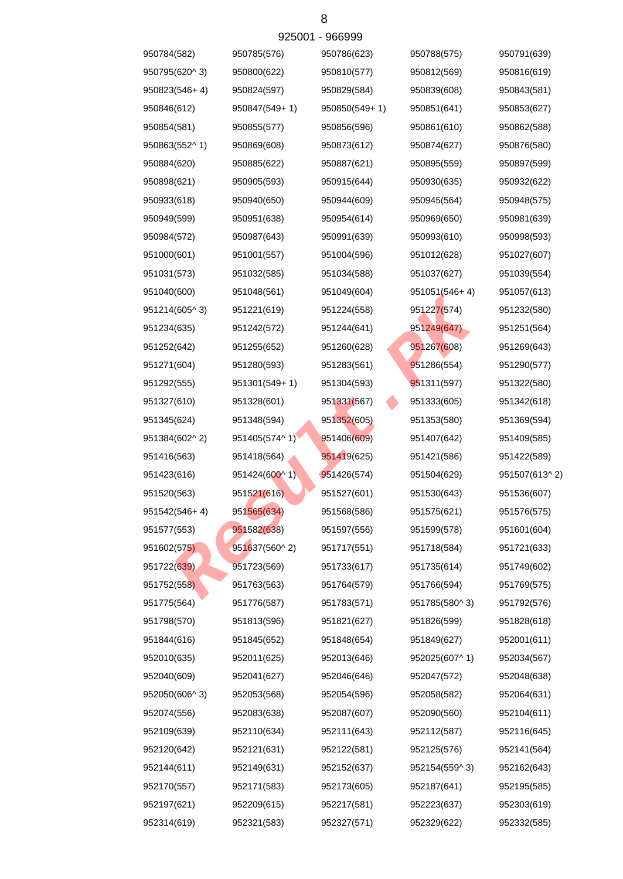| 950784(582)   | 950785(576)   | 950786(623)   | 950788(575)   | 950791(639)   |
|---------------|---------------|---------------|---------------|---------------|
| 950795(620^3) | 950800(622)   | 950810(577)   | 950812(569)   | 950816(619)   |
| 950823(546+4) | 950824(597)   | 950829(584)   | 950839(608)   | 950843(581)   |
| 950846(612)   | 950847(549+1) | 950850(549+1) | 950851(641)   | 950853(627)   |
| 950854(581)   | 950855(577)   | 950856(596)   | 950861(610)   | 950862(588)   |
| 950863(552^1) | 950869(608)   | 950873(612)   | 950874(627)   | 950876(580)   |
| 950884(620)   | 950885(622)   | 950887(621)   | 950895(559)   | 950897(599)   |
| 950898(621)   | 950905(593)   | 950915(644)   | 950930(635)   | 950932(622)   |
| 950933(618)   | 950940(650)   | 950944(609)   | 950945(564)   | 950948(575)   |
| 950949(599)   | 950951(638)   | 950954(614)   | 950969(650)   | 950981(639)   |
| 950984(572)   | 950987(643)   | 950991(639)   | 950993(610)   | 950998(593)   |
| 951000(601)   | 951001(557)   | 951004(596)   | 951012(628)   | 951027(607)   |
| 951031(573)   | 951032(585)   | 951034(588)   | 951037(627)   | 951039(554)   |
| 951040(600)   | 951048(561)   | 951049(604)   | 951051(546+4) | 951057(613)   |
| 951214(605^3) | 951221(619)   | 951224(558)   | 951227(574)   | 951232(580)   |
| 951234(635)   | 951242(572)   | 951244(641)   | 951249(647)   | 951251(564)   |
| 951252(642)   | 951255(652)   | 951260(628)   | 951267(608)   | 951269(643)   |
| 951271(604)   | 951280(593)   | 951283(561)   | 951286(554)   | 951290(577)   |
| 951292(555)   | 951301(549+1) | 951304(593)   | 951311(597)   | 951322(580)   |
| 951327(610)   | 951328(601)   | 951331(567)   | 951333(605)   | 951342(618)   |
| 951345(624)   | 951348(594)   | 951352(605)   | 951353(580)   | 951369(594)   |
| 951384(602^2) | 951405(574^1) | 951406(609)   | 951407(642)   | 951409(585)   |
| 951416(563)   | 951418(564)   | 951419(625)   | 951421(586)   | 951422(589)   |
| 951423(616)   | 951424(600^1) | 951426(574)   | 951504(629)   | 951507(613^2) |
| 951520(563)   | 951521(616)   | 951527(601)   | 951530(643)   | 951536(607)   |
| 951542(546+4) | 951565(634)   | 951568(586)   | 951575(621)   | 951576(575)   |
| 951577(553)   | 951582(638)   | 951597(556)   | 951599(578)   | 951601(604)   |
| 951602(575)   | 951637(560^2) | 951717(551)   | 951718(584)   | 951721(633)   |
| 951722(639)   | 951723(569)   | 951733(617)   | 951735(614)   | 951749(602)   |
| 951752(558)   | 951763(563)   | 951764(579)   | 951766(594)   | 951769(575)   |
| 951775(564)   | 951776(587)   | 951783(571)   | 951785(580^3) | 951792(576)   |
| 951798(570)   | 951813(596)   | 951821(627)   | 951826(599)   | 951828(618)   |
| 951844(616)   | 951845(652)   | 951848(654)   | 951849(627)   | 952001(611)   |
| 952010(635)   | 952011(625)   | 952013(646)   | 952025(607^1) | 952034(567)   |
| 952040(609)   | 952041(627)   | 952046(646)   | 952047(572)   | 952048(638)   |
| 952050(606^3) | 952053(568)   | 952054(596)   | 952058(582)   | 952064(631)   |
| 952074(556)   | 952083(638)   | 952087(607)   | 952090(560)   | 952104(611)   |
| 952109(639)   | 952110(634)   | 952111(643)   | 952112(587)   | 952116(645)   |
| 952120(642)   | 952121(631)   | 952122(581)   | 952125(576)   | 952141(564)   |
| 952144(611)   | 952149(631)   | 952152(637)   | 952154(559^3) | 952162(643)   |
| 952170(557)   | 952171(583)   | 952173(605)   | 952187(641)   | 952195(585)   |
| 952197(621)   | 952209(615)   | 952217(581)   | 952223(637)   | 952303(619)   |
| 952314(619)   | 952321(583)   | 952327(571)   | 952329(622)   | 952332(585)   |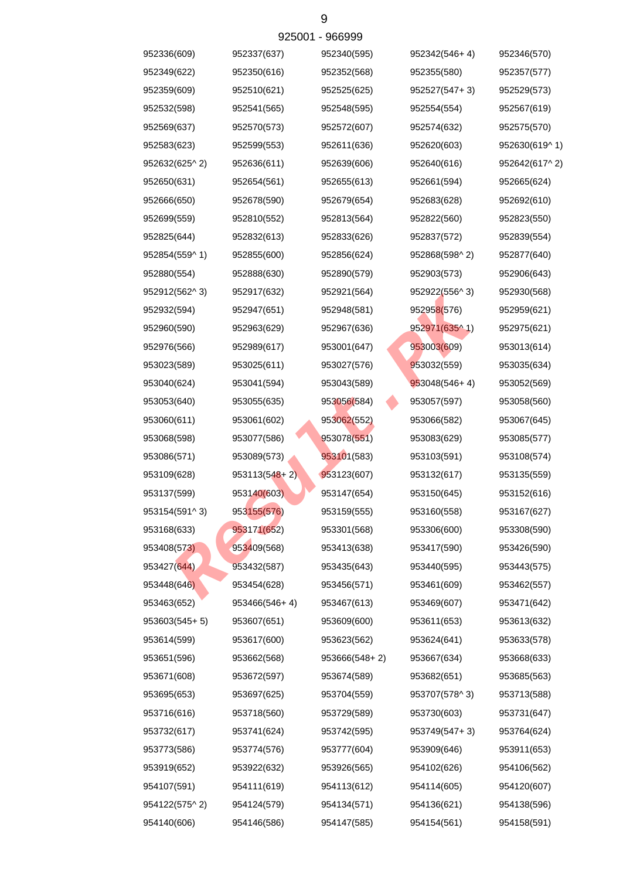|               |                   | ລ <u>ຽດດດ i - ລດດລລ</u> ລ |                 |               |
|---------------|-------------------|---------------------------|-----------------|---------------|
| 952336(609)   | 952337(637)       | 952340(595)               | 952342(546+4)   | 952346(570)   |
| 952349(622)   | 952350(616)       | 952352(568)               | 952355(580)     | 952357(577)   |
| 952359(609)   | 952510(621)       | 952525(625)               | 952527(547+3)   | 952529(573)   |
| 952532(598)   | 952541(565)       | 952548(595)               | 952554(554)     | 952567(619)   |
| 952569(637)   | 952570(573)       | 952572(607)               | 952574(632)     | 952575(570)   |
| 952583(623)   | 952599(553)       | 952611(636)               | 952620(603)     | 952630(619^1) |
| 952632(625^2) | 952636(611)       | 952639(606)               | 952640(616)     | 952642(617^2) |
| 952650(631)   | 952654(561)       | 952655(613)               | 952661(594)     | 952665(624)   |
| 952666(650)   | 952678(590)       | 952679(654)               | 952683(628)     | 952692(610)   |
| 952699(559)   | 952810(552)       | 952813(564)               | 952822(560)     | 952823(550)   |
| 952825(644)   | 952832(613)       | 952833(626)               | 952837(572)     | 952839(554)   |
| 952854(559^1) | 952855(600)       | 952856(624)               | 952868(598^2)   | 952877(640)   |
| 952880(554)   | 952888(630)       | 952890(579)               | 952903(573)     | 952906(643)   |
| 952912(562^3) | 952917(632)       | 952921(564)               | 952922(556^3)   | 952930(568)   |
| 952932(594)   | 952947(651)       | 952948(581)               | 952958(576)     | 952959(621)   |
| 952960(590)   | 952963(629)       | 952967(636)               | 952971(635^1)   | 952975(621)   |
| 952976(566)   | 952989(617)       | 953001(647)               | 953003(609)     | 953013(614)   |
| 953023(589)   | 953025(611)       | 953027(576)               | 953032(559)     | 953035(634)   |
| 953040(624)   | 953041(594)       | 953043(589)               | $953048(546+4)$ | 953052(569)   |
| 953053(640)   | 953055(635)       | 953056(584)               | 953057(597)     | 953058(560)   |
| 953060(611)   | 953061(602)       | 953062(552)               | 953066(582)     | 953067(645)   |
| 953068(598)   | 953077(586)       | 953078(551)               | 953083(629)     | 953085(577)   |
| 953086(571)   | 953089(573)       | 953101(583)               | 953103(591)     | 953108(574)   |
| 953109(628)   | $953113(548 + 2)$ | 953123(607)               | 953132(617)     | 953135(559)   |
| 953137(599)   | 953140(603)       | 953147(654)               | 953150(645)     | 953152(616)   |
| 953154(591^3) | 953155(576)       | 953159(555)               | 953160(558)     | 953167(627)   |
| 953168(633)   | 953171(652)       | 953301(568)               | 953306(600)     | 953308(590)   |
| 953408(573)   | 953409(568)       | 953413(638)               | 953417(590)     | 953426(590)   |
| 953427(644)   | 953432(587)       | 953435(643)               | 953440(595)     | 953443(575)   |
| 953448(646)   | 953454(628)       | 953456(571)               | 953461(609)     | 953462(557)   |
| 953463(652)   | 953466(546+4)     | 953467(613)               | 953469(607)     | 953471(642)   |
| 953603(545+5) | 953607(651)       | 953609(600)               | 953611(653)     | 953613(632)   |
| 953614(599)   | 953617(600)       | 953623(562)               | 953624(641)     | 953633(578)   |
| 953651(596)   | 953662(568)       | 953666(548+2)             | 953667(634)     | 953668(633)   |
| 953671(608)   | 953672(597)       | 953674(589)               | 953682(651)     | 953685(563)   |
| 953695(653)   | 953697(625)       | 953704(559)               | 953707(578^3)   | 953713(588)   |
| 953716(616)   | 953718(560)       | 953729(589)               | 953730(603)     | 953731(647)   |
| 953732(617)   | 953741(624)       | 953742(595)               | 953749(547+3)   | 953764(624)   |
| 953773(586)   | 953774(576)       | 953777(604)               | 953909(646)     | 953911(653)   |
| 953919(652)   | 953922(632)       | 953926(565)               | 954102(626)     | 954106(562)   |
| 954107(591)   | 954111(619)       | 954113(612)               | 954114(605)     | 954120(607)   |
| 954122(575^2) | 954124(579)       | 954134(571)               | 954136(621)     | 954138(596)   |
| 954140(606)   | 954146(586)       | 954147(585)               | 954154(561)     | 954158(591)   |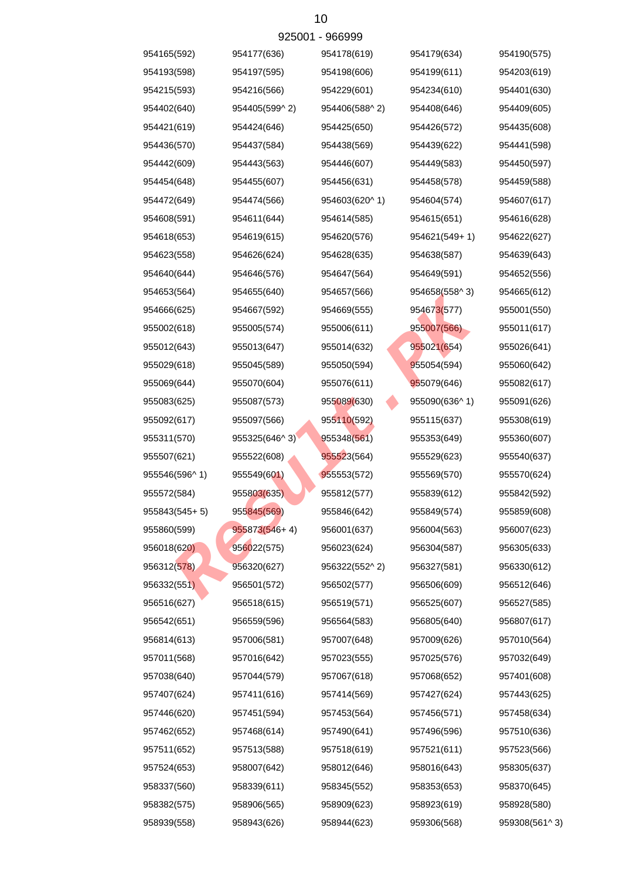| 954165(592)   | 954177(636)   | 954178(619)   | 954179(634)   | 954190(575)   |
|---------------|---------------|---------------|---------------|---------------|
| 954193(598)   | 954197(595)   | 954198(606)   | 954199(611)   | 954203(619)   |
| 954215(593)   | 954216(566)   | 954229(601)   | 954234(610)   | 954401(630)   |
| 954402(640)   | 954405(599^2) | 954406(588^2) | 954408(646)   | 954409(605)   |
| 954421(619)   | 954424(646)   | 954425(650)   | 954426(572)   | 954435(608)   |
| 954436(570)   | 954437(584)   | 954438(569)   | 954439(622)   | 954441(598)   |
| 954442(609)   | 954443(563)   | 954446(607)   | 954449(583)   | 954450(597)   |
| 954454(648)   | 954455(607)   | 954456(631)   | 954458(578)   | 954459(588)   |
| 954472(649)   | 954474(566)   | 954603(620^1) | 954604(574)   | 954607(617)   |
| 954608(591)   | 954611(644)   | 954614(585)   | 954615(651)   | 954616(628)   |
| 954618(653)   | 954619(615)   | 954620(576)   | 954621(549+1) | 954622(627)   |
| 954623(558)   | 954626(624)   | 954628(635)   | 954638(587)   | 954639(643)   |
| 954640(644)   | 954646(576)   | 954647(564)   | 954649(591)   | 954652(556)   |
| 954653(564)   | 954655(640)   | 954657(566)   | 954658(558^3) | 954665(612)   |
| 954666(625)   | 954667(592)   | 954669(555)   | 954673(577)   | 955001(550)   |
| 955002(618)   | 955005(574)   | 955006(611)   | 955007(566)   | 955011(617)   |
| 955012(643)   | 955013(647)   | 955014(632)   | 955021(654)   | 955026(641)   |
| 955029(618)   | 955045(589)   | 955050(594)   | 955054(594)   | 955060(642)   |
| 955069(644)   | 955070(604)   | 955076(611)   | 955079(646)   | 955082(617)   |
| 955083(625)   | 955087(573)   | 955089(630)   | 955090(636^1) | 955091(626)   |
| 955092(617)   | 955097(566)   | 955110(592)   | 955115(637)   | 955308(619)   |
| 955311(570)   | 955325(646^3) | 955348(561)   | 955353(649)   | 955360(607)   |
| 955507(621)   | 955522(608)   | 955523(564)   | 955529(623)   | 955540(637)   |
| 955546(596^1) | 955549(601)   | 955553(572)   | 955569(570)   | 955570(624)   |
| 955572(584)   | 955803(635)   | 955812(577)   | 955839(612)   | 955842(592)   |
| 955843(545+5) | 955845(569)   | 955846(642)   | 955849(574)   | 955859(608)   |
| 955860(599)   | 955873(546+4) | 956001(637)   | 956004(563)   | 956007(623)   |
| 956018(620)   | 956022(575)   | 956023(624)   | 956304(587)   | 956305(633)   |
| 956312(578)   | 956320(627)   | 956322(552^2) | 956327(581)   | 956330(612)   |
| 956332(551)   | 956501(572)   | 956502(577)   | 956506(609)   | 956512(646)   |
| 956516(627)   | 956518(615)   | 956519(571)   | 956525(607)   | 956527(585)   |
| 956542(651)   | 956559(596)   | 956564(583)   | 956805(640)   | 956807(617)   |
| 956814(613)   | 957006(581)   | 957007(648)   | 957009(626)   | 957010(564)   |
| 957011(568)   | 957016(642)   | 957023(555)   | 957025(576)   | 957032(649)   |
| 957038(640)   | 957044(579)   | 957067(618)   | 957068(652)   | 957401(608)   |
| 957407(624)   | 957411(616)   | 957414(569)   | 957427(624)   | 957443(625)   |
| 957446(620)   | 957451(594)   | 957453(564)   | 957456(571)   | 957458(634)   |
| 957462(652)   | 957468(614)   | 957490(641)   | 957496(596)   | 957510(636)   |
| 957511(652)   | 957513(588)   | 957518(619)   | 957521(611)   | 957523(566)   |
| 957524(653)   | 958007(642)   | 958012(646)   | 958016(643)   | 958305(637)   |
| 958337(560)   | 958339(611)   | 958345(552)   | 958353(653)   | 958370(645)   |
| 958382(575)   | 958906(565)   | 958909(623)   | 958923(619)   | 958928(580)   |
| 958939(558)   | 958943(626)   | 958944(623)   | 959306(568)   | 959308(561^3) |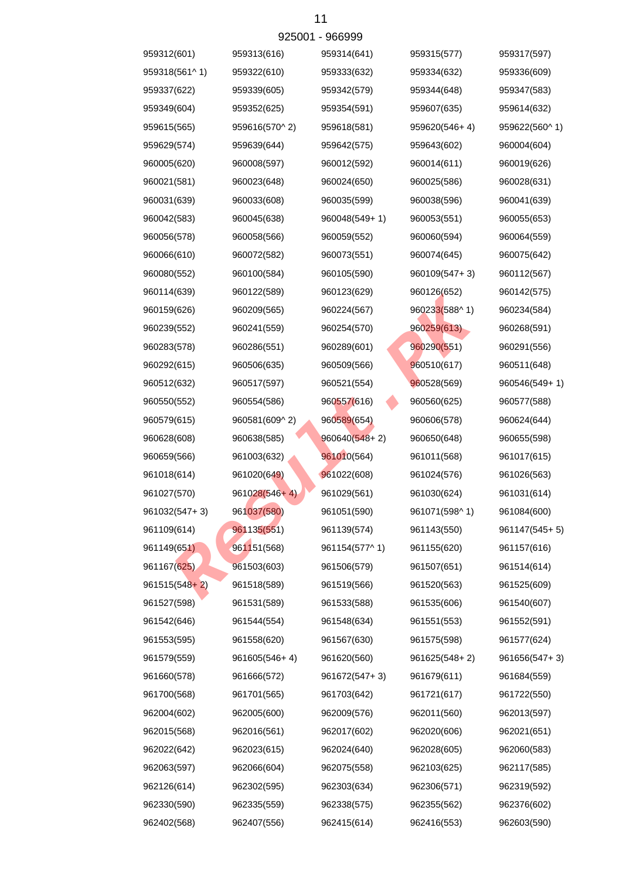| 959312(601)   | 959313(616)   | 959314(641)     | 959315(577)   | 959317(597)   |
|---------------|---------------|-----------------|---------------|---------------|
| 959318(561^1) | 959322(610)   | 959333(632)     | 959334(632)   | 959336(609)   |
| 959337(622)   | 959339(605)   | 959342(579)     | 959344(648)   | 959347(583)   |
| 959349(604)   | 959352(625)   | 959354(591)     | 959607(635)   | 959614(632)   |
| 959615(565)   | 959616(570^2) | 959618(581)     | 959620(546+4) | 959622(560^1) |
| 959629(574)   | 959639(644)   | 959642(575)     | 959643(602)   | 960004(604)   |
| 960005(620)   | 960008(597)   | 960012(592)     | 960014(611)   | 960019(626)   |
| 960021(581)   | 960023(648)   | 960024(650)     | 960025(586)   | 960028(631)   |
| 960031(639)   | 960033(608)   | 960035(599)     | 960038(596)   | 960041(639)   |
| 960042(583)   | 960045(638)   | 960048(549+1)   | 960053(551)   | 960055(653)   |
| 960056(578)   | 960058(566)   | 960059(552)     | 960060(594)   | 960064(559)   |
| 960066(610)   | 960072(582)   | 960073(551)     | 960074(645)   | 960075(642)   |
| 960080(552)   | 960100(584)   | 960105(590)     | 960109(547+3) | 960112(567)   |
| 960114(639)   | 960122(589)   | 960123(629)     | 960126(652)   | 960142(575)   |
| 960159(626)   | 960209(565)   | 960224(567)     | 960233(588^1) | 960234(584)   |
| 960239(552)   | 960241(559)   | 960254(570)     | 960259(613)   | 960268(591)   |
| 960283(578)   | 960286(551)   | 960289(601)     | 960290(551)   | 960291(556)   |
| 960292(615)   | 960506(635)   | 960509(566)     | 960510(617)   | 960511(648)   |
| 960512(632)   | 960517(597)   | 960521(554)     | 960528(569)   | 960546(549+1) |
| 960550(552)   | 960554(586)   | 960557(616)     | 960560(625)   | 960577(588)   |
| 960579(615)   | 960581(609^2) | 960589(654)     | 960606(578)   | 960624(644)   |
| 960628(608)   | 960638(585)   | $960640(548+2)$ | 960650(648)   | 960655(598)   |
| 960659(566)   | 961003(632)   | 961010(564)     | 961011(568)   | 961017(615)   |
| 961018(614)   | 961020(649)   | 961022(608)     | 961024(576)   | 961026(563)   |
| 961027(570)   | 961028(546+4) | 961029(561)     | 961030(624)   | 961031(614)   |
| 961032(547+3) | 961037(580)   | 961051(590)     | 961071(598^1) | 961084(600)   |
| 961109(614)   | 961135(551)   | 961139(574)     | 961143(550)   | 961147(545+5) |
| 961149(651)   | 961151(568)   | 961154(577^1)   | 961155(620)   | 961157(616)   |
| 961167(625)   | 961503(603)   | 961506(579)     | 961507(651)   | 961514(614)   |
| 961515(548+2) | 961518(589)   | 961519(566)     | 961520(563)   | 961525(609)   |
| 961527(598)   | 961531(589)   | 961533(588)     | 961535(606)   | 961540(607)   |
| 961542(646)   | 961544(554)   | 961548(634)     | 961551(553)   | 961552(591)   |
| 961553(595)   | 961558(620)   | 961567(630)     | 961575(598)   | 961577(624)   |
| 961579(559)   | 961605(546+4) | 961620(560)     | 961625(548+2) | 961656(547+3) |
| 961660(578)   | 961666(572)   | 961672(547+3)   | 961679(611)   | 961684(559)   |
| 961700(568)   | 961701(565)   | 961703(642)     | 961721(617)   | 961722(550)   |
| 962004(602)   | 962005(600)   | 962009(576)     | 962011(560)   | 962013(597)   |
| 962015(568)   | 962016(561)   | 962017(602)     | 962020(606)   | 962021(651)   |
| 962022(642)   | 962023(615)   | 962024(640)     | 962028(605)   | 962060(583)   |
| 962063(597)   | 962066(604)   | 962075(558)     | 962103(625)   | 962117(585)   |
| 962126(614)   | 962302(595)   | 962303(634)     | 962306(571)   | 962319(592)   |
| 962330(590)   | 962335(559)   | 962338(575)     | 962355(562)   | 962376(602)   |
| 962402(568)   | 962407(556)   | 962415(614)     | 962416(553)   | 962603(590)   |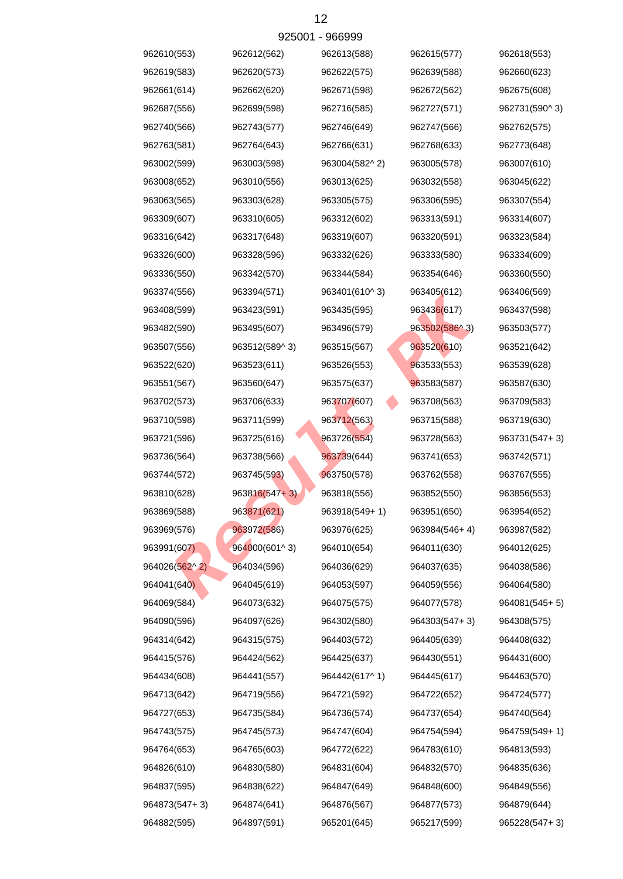|               |                 | AS200.1 - APPAAA |               |               |
|---------------|-----------------|------------------|---------------|---------------|
| 962610(553)   | 962612(562)     | 962613(588)      | 962615(577)   | 962618(553)   |
| 962619(583)   | 962620(573)     | 962622(575)      | 962639(588)   | 962660(623)   |
| 962661(614)   | 962662(620)     | 962671(598)      | 962672(562)   | 962675(608)   |
| 962687(556)   | 962699(598)     | 962716(585)      | 962727(571)   | 962731(590^3) |
| 962740(566)   | 962743(577)     | 962746(649)      | 962747(566)   | 962762(575)   |
| 962763(581)   | 962764(643)     | 962766(631)      | 962768(633)   | 962773(648)   |
| 963002(599)   | 963003(598)     | 963004(582^2)    | 963005(578)   | 963007(610)   |
| 963008(652)   | 963010(556)     | 963013(625)      | 963032(558)   | 963045(622)   |
| 963063(565)   | 963303(628)     | 963305(575)      | 963306(595)   | 963307(554)   |
| 963309(607)   | 963310(605)     | 963312(602)      | 963313(591)   | 963314(607)   |
| 963316(642)   | 963317(648)     | 963319(607)      | 963320(591)   | 963323(584)   |
| 963326(600)   | 963328(596)     | 963332(626)      | 963333(580)   | 963334(609)   |
| 963336(550)   | 963342(570)     | 963344(584)      | 963354(646)   | 963360(550)   |
| 963374(556)   | 963394(571)     | 963401(610^3)    | 963405(612)   | 963406(569)   |
| 963408(599)   | 963423(591)     | 963435(595)      | 963436(617)   | 963437(598)   |
| 963482(590)   | 963495(607)     | 963496(579)      | 963502(586^3) | 963503(577)   |
| 963507(556)   | 963512(589^3)   | 963515(567)      | 963520(610)   | 963521(642)   |
| 963522(620)   | 963523(611)     | 963526(553)      | 963533(553)   | 963539(628)   |
| 963551(567)   | 963560(647)     | 963575(637)      | 963583(587)   | 963587(630)   |
| 963702(573)   | 963706(633)     | 963707(607)      | 963708(563)   | 963709(583)   |
| 963710(598)   | 963711(599)     | 963712(563)      | 963715(588)   | 963719(630)   |
| 963721(596)   | 963725(616)     | 963726(554)      | 963728(563)   | 963731(547+3) |
| 963736(564)   | 963738(566)     | 963739(644)      | 963741(653)   | 963742(571)   |
| 963744(572)   | 963745(593)     | 963750(578)      | 963762(558)   | 963767(555)   |
| 963810(628)   | $963816(547+3)$ | 963818(556)      | 963852(550)   | 963856(553)   |
| 963869(588)   | 963871(621)     | 963918(549+1)    | 963951(650)   | 963954(652)   |
| 963969(576)   | 963972(586)     | 963976(625)      | 963984(546+4) | 963987(582)   |
| 963991(607)   | 964000(601^3)   | 964010(654)      | 964011(630)   | 964012(625)   |
| 964026(562^2) | 964034(596)     | 964036(629)      | 964037(635)   | 964038(586)   |
| 964041(640)   | 964045(619)     | 964053(597)      | 964059(556)   | 964064(580)   |
| 964069(584)   | 964073(632)     | 964075(575)      | 964077(578)   | 964081(545+5) |
| 964090(596)   | 964097(626)     | 964302(580)      | 964303(547+3) | 964308(575)   |
| 964314(642)   | 964315(575)     | 964403(572)      | 964405(639)   | 964408(632)   |
| 964415(576)   | 964424(562)     | 964425(637)      | 964430(551)   | 964431(600)   |
| 964434(608)   | 964441(557)     | 964442(617^1)    | 964445(617)   | 964463(570)   |
| 964713(642)   | 964719(556)     | 964721(592)      | 964722(652)   | 964724(577)   |
| 964727(653)   | 964735(584)     | 964736(574)      | 964737(654)   | 964740(564)   |
| 964743(575)   | 964745(573)     | 964747(604)      | 964754(594)   | 964759(549+1) |
| 964764(653)   | 964765(603)     | 964772(622)      | 964783(610)   | 964813(593)   |
| 964826(610)   | 964830(580)     | 964831(604)      | 964832(570)   | 964835(636)   |
| 964837(595)   | 964838(622)     | 964847(649)      | 964848(600)   | 964849(556)   |
| 964873(547+3) | 964874(641)     | 964876(567)      | 964877(573)   | 964879(644)   |
| 964882(595)   | 964897(591)     | 965201(645)      | 965217(599)   | 965228(547+3) |

 $025001$   $066000$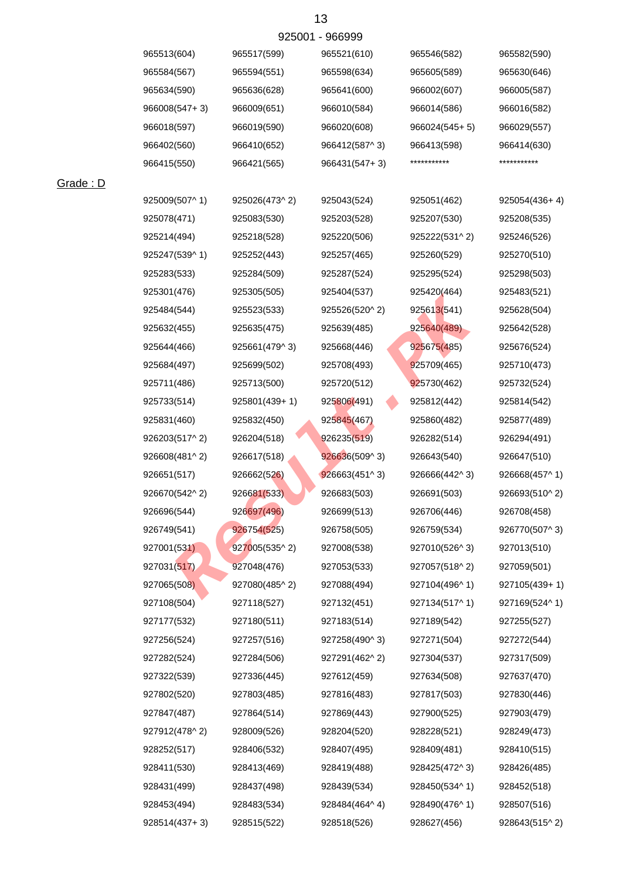|  | 925001 - 966999 |
|--|-----------------|
|--|-----------------|

| 965513(604)   | 965517(599)   | 965521(610)                | 965546(582)     | 965582(590)     |
|---------------|---------------|----------------------------|-----------------|-----------------|
| 965584(567)   | 965594(551)   | 965598(634)                | 965605(589)     | 965630(646)     |
| 965634(590)   | 965636(628)   | 965641(600)                | 966002(607)     | 966005(587)     |
| 966008(547+3) | 966009(651)   | 966010(584)                | 966014(586)     | 966016(582)     |
| 966018(597)   | 966019(590)   | 966020(608)                | $966024(545+5)$ | 966029(557)     |
| 966402(560)   | 966410(652)   | 966412(587^3)              | 966413(598)     | 966414(630)     |
| 966415(550)   | 966421(565)   | 966431(547+3)              | ***********     | ***********     |
|               |               |                            |                 |                 |
| 925009(507^1) | 925026(473^2) | 925043(524)                | 925051(462)     | $925054(436+4)$ |
| 925078(471)   | 925083(530)   | 925203(528)                | 925207(530)     | 925208(535)     |
| 925214(494)   | 925218(528)   | 925220(506)                | 925222(531^2)   | 925246(526)     |
| 925247(539^1) | 925252(443)   | 925257(465)                | 925260(529)     | 925270(510)     |
| 925283(533)   | 925284(509)   | 925287(524)                | 925295(524)     | 925298(503)     |
| 925301(476)   | 925305(505)   | 925404(537)                | 925420(464)     | 925483(521)     |
| 925484(544)   | 925523(533)   | 925526(520^2)              | 925613(541)     | 925628(504)     |
| 925632(455)   | 925635(475)   | 925639(485)                | 925640(489)     | 925642(528)     |
| 925644(466)   | 925661(479^3) | 925668(446)                | 925675(485)     | 925676(524)     |
| 925684(497)   | 925699(502)   | 925708(493)                | 925709(465)     | 925710(473)     |
| 925711(486)   | 925713(500)   | 925720(512)                | 925730(462)     | 925732(524)     |
| 925733(514)   | 925801(439+1) | 925806(491)                | 925812(442)     | 925814(542)     |
| 925831(460)   | 925832(450)   | 925845(467)                | 925860(482)     | 925877(489)     |
| 926203(517^2) | 926204(518)   | 926235(519)                | 926282(514)     | 926294(491)     |
| 926608(481^2) | 926617(518)   | 926636(509^3)              | 926643(540)     | 926647(510)     |
| 926651(517)   | 926662(526)   | 926663(451 <sup>1</sup> 3) | 926666(442^3)   | 926668(457^1)   |
| 926670(542^2) | 926681(533)   | 926683(503)                | 926691(503)     | 926693(510^2)   |
| 926696(544)   | 926697(496)   | 926699(513)                | 926706(446)     | 926708(458)     |
| 926749(541)   | 926754(525)   | 926758(505)                | 926759(534)     | 926770(507^3)   |
| 927001(531)   | 927005(535^2) | 927008(538)                | 927010(526^3)   | 927013(510)     |
| 927031(517)   | 927048(476)   | 927053(533)                | 927057(518^2)   | 927059(501)     |
| 927065(508)   | 927080(485^2) | 927088(494)                | 927104(496^1)   | 927105(439+1)   |
| 927108(504)   | 927118(527)   | 927132(451)                | 927134(517^1)   | 927169(524^1)   |
| 927177(532)   | 927180(511)   | 927183(514)                | 927189(542)     | 927255(527)     |
| 927256(524)   | 927257(516)   | 927258(490^3)              | 927271(504)     | 927272(544)     |
| 927282(524)   | 927284(506)   | 927291(462^2)              | 927304(537)     | 927317(509)     |
| 927322(539)   | 927336(445)   | 927612(459)                | 927634(508)     | 927637(470)     |
| 927802(520)   | 927803(485)   | 927816(483)                | 927817(503)     | 927830(446)     |
| 927847(487)   | 927864(514)   | 927869(443)                | 927900(525)     | 927903(479)     |
| 927912(478^2) | 928009(526)   | 928204(520)                | 928228(521)     | 928249(473)     |
| 928252(517)   | 928406(532)   | 928407(495)                | 928409(481)     | 928410(515)     |
| 928411(530)   | 928413(469)   | 928419(488)                | 928425(472^3)   | 928426(485)     |
| 928431(499)   | 928437(498)   | 928439(534)                | 928450(534^1)   | 928452(518)     |
| 928453(494)   | 928483(534)   | 928484(464^4)              | 928490(476^1)   | 928507(516)     |
| 928514(437+3) | 928515(522)   | 928518(526)                | 928627(456)     | 928643(515^2)   |

Grade : D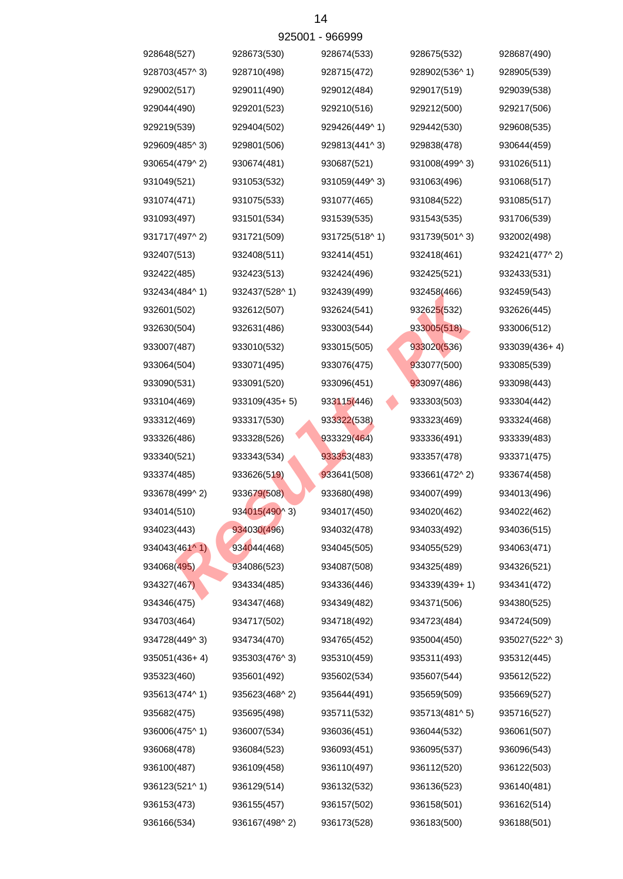|               |                 | ลรวกก  - ลออลลล |               |               |
|---------------|-----------------|-----------------|---------------|---------------|
| 928648(527)   | 928673(530)     | 928674(533)     | 928675(532)   | 928687(490)   |
| 928703(457^3) | 928710(498)     | 928715(472)     | 928902(536^1) | 928905(539)   |
| 929002(517)   | 929011(490)     | 929012(484)     | 929017(519)   | 929039(538)   |
| 929044(490)   | 929201(523)     | 929210(516)     | 929212(500)   | 929217(506)   |
| 929219(539)   | 929404(502)     | 929426(449^1)   | 929442(530)   | 929608(535)   |
| 929609(485^3) | 929801(506)     | 929813(441^3)   | 929838(478)   | 930644(459)   |
| 930654(479^2) | 930674(481)     | 930687(521)     | 931008(499^3) | 931026(511)   |
| 931049(521)   | 931053(532)     | 931059(449^3)   | 931063(496)   | 931068(517)   |
| 931074(471)   | 931075(533)     | 931077(465)     | 931084(522)   | 931085(517)   |
| 931093(497)   | 931501(534)     | 931539(535)     | 931543(535)   | 931706(539)   |
| 931717(497^2) | 931721(509)     | 931725(518^1)   | 931739(501^3) | 932002(498)   |
| 932407(513)   | 932408(511)     | 932414(451)     | 932418(461)   | 932421(477^2) |
| 932422(485)   | 932423(513)     | 932424(496)     | 932425(521)   | 932433(531)   |
| 932434(484^1) | 932437(528^1)   | 932439(499)     | 932458(466)   | 932459(543)   |
| 932601(502)   | 932612(507)     | 932624(541)     | 932625(532)   | 932626(445)   |
| 932630(504)   | 932631(486)     | 933003(544)     | 933005(518)   | 933006(512)   |
| 933007(487)   | 933010(532)     | 933015(505)     | 933020(536)   | 933039(436+4) |
| 933064(504)   | 933071(495)     | 933076(475)     | 933077(500)   | 933085(539)   |
| 933090(531)   | 933091(520)     | 933096(451)     | 933097(486)   | 933098(443)   |
| 933104(469)   | $933109(435+5)$ | 933115(446)     | 933303(503)   | 933304(442)   |
| 933312(469)   | 933317(530)     | 933322(538)     | 933323(469)   | 933324(468)   |
| 933326(486)   | 933328(526)     | 933329(464)     | 933336(491)   | 933339(483)   |
| 933340(521)   | 933343(534)     | 933353(483)     | 933357(478)   | 933371(475)   |
| 933374(485)   | 933626(519)     | 933641(508)     | 933661(472^2) | 933674(458)   |
| 933678(499^2) | 933679(508)     | 933680(498)     | 934007(499)   | 934013(496)   |
| 934014(510)   | 934015(490^3)   | 934017(450)     | 934020(462)   | 934022(462)   |
| 934023(443)   | 934030(496)     | 934032(478)     | 934033(492)   | 934036(515)   |
| 934043(461^1) | 934044(468)     | 934045(505)     | 934055(529)   | 934063(471)   |
| 934068(495)   | 934086(523)     | 934087(508)     | 934325(489)   | 934326(521)   |
| 934327(467)   | 934334(485)     | 934336(446)     | 934339(439+1) | 934341(472)   |
| 934346(475)   | 934347(468)     | 934349(482)     | 934371(506)   | 934380(525)   |
| 934703(464)   | 934717(502)     | 934718(492)     | 934723(484)   | 934724(509)   |
| 934728(449^3) | 934734(470)     | 934765(452)     | 935004(450)   | 935027(522^3) |
| 935051(436+4) | 935303(476^3)   | 935310(459)     | 935311(493)   | 935312(445)   |
| 935323(460)   | 935601(492)     | 935602(534)     | 935607(544)   | 935612(522)   |
| 935613(474^1) | 935623(468^2)   | 935644(491)     | 935659(509)   | 935669(527)   |
| 935682(475)   | 935695(498)     | 935711(532)     | 935713(481^5) | 935716(527)   |
| 936006(475^1) | 936007(534)     | 936036(451)     | 936044(532)   | 936061(507)   |
| 936068(478)   | 936084(523)     | 936093(451)     | 936095(537)   | 936096(543)   |
| 936100(487)   | 936109(458)     | 936110(497)     | 936112(520)   | 936122(503)   |
| 936123(521^1) | 936129(514)     | 936132(532)     | 936136(523)   | 936140(481)   |
| 936153(473)   | 936155(457)     | 936157(502)     | 936158(501)   | 936162(514)   |
| 936166(534)   | 936167(498^2)   | 936173(528)     | 936183(500)   | 936188(501)   |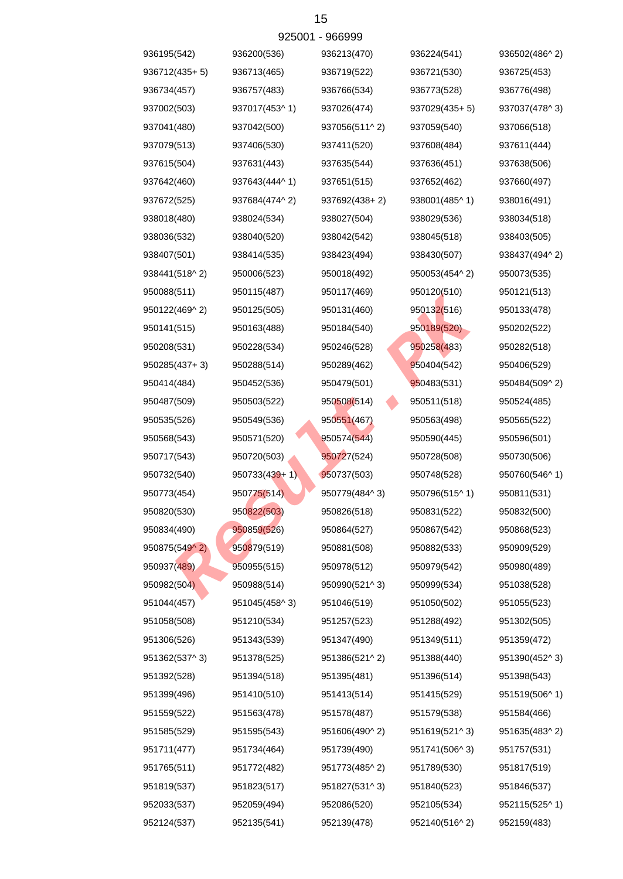|               | ອ∠ບບບ ⊩       | - ອບບອອອ      |               |               |
|---------------|---------------|---------------|---------------|---------------|
| 936195(542)   | 936200(536)   | 936213(470)   | 936224(541)   | 936502(486^2) |
| 936712(435+5) | 936713(465)   | 936719(522)   | 936721(530)   | 936725(453)   |
| 936734(457)   | 936757(483)   | 936766(534)   | 936773(528)   | 936776(498)   |
| 937002(503)   | 937017(453^1) | 937026(474)   | 937029(435+5) | 937037(478^3) |
| 937041(480)   | 937042(500)   | 937056(511^2) | 937059(540)   | 937066(518)   |
| 937079(513)   | 937406(530)   | 937411(520)   | 937608(484)   | 937611(444)   |
| 937615(504)   | 937631(443)   | 937635(544)   | 937636(451)   | 937638(506)   |
| 937642(460)   | 937643(444^1) | 937651(515)   | 937652(462)   | 937660(497)   |
| 937672(525)   | 937684(474^2) | 937692(438+2) | 938001(485^1) | 938016(491)   |
| 938018(480)   | 938024(534)   | 938027(504)   | 938029(536)   | 938034(518)   |
| 938036(532)   | 938040(520)   | 938042(542)   | 938045(518)   | 938403(505)   |
| 938407(501)   | 938414(535)   | 938423(494)   | 938430(507)   | 938437(494^2) |
| 938441(518^2) | 950006(523)   | 950018(492)   | 950053(454^2) | 950073(535)   |
| 950088(511)   | 950115(487)   | 950117(469)   | 950120(510)   | 950121(513)   |
| 950122(469^2) | 950125(505)   | 950131(460)   | 950132(516)   | 950133(478)   |
| 950141(515)   | 950163(488)   | 950184(540)   | 950189(520)   | 950202(522)   |
| 950208(531)   | 950228(534)   | 950246(528)   | 950258(483)   | 950282(518)   |
| 950285(437+3) | 950288(514)   | 950289(462)   | 950404(542)   | 950406(529)   |
| 950414(484)   | 950452(536)   | 950479(501)   | 950483(531)   | 950484(509^2) |
| 950487(509)   | 950503(522)   | 950508(514)   | 950511(518)   | 950524(485)   |
| 950535(526)   | 950549(536)   | 950551(467)   | 950563(498)   | 950565(522)   |
| 950568(543)   | 950571(520)   | 950574(544)   | 950590(445)   | 950596(501)   |
| 950717(543)   | 950720(503)   | 950727(524)   | 950728(508)   | 950730(506)   |
| 950732(540)   | 950733(439+1) | 950737(503)   | 950748(528)   | 950760(546^1) |
| 950773(454)   | 950775(514)   | 950779(484^3) | 950796(515^1) | 950811(531)   |
| 950820(530)   | 950822(503)   | 950826(518)   | 950831(522)   | 950832(500)   |
| 950834(490)   | 950859(526)   | 950864(527)   | 950867(542)   | 950868(523)   |
| 950875(549^2) | 950879(519)   | 950881(508)   | 950882(533)   | 950909(529)   |
| 950937(489)   | 950955(515)   | 950978(512)   | 950979(542)   | 950980(489)   |
| 950982(504)   | 950988(514)   | 950990(521^3) | 950999(534)   | 951038(528)   |
| 951044(457)   | 951045(458^3) | 951046(519)   | 951050(502)   | 951055(523)   |
| 951058(508)   | 951210(534)   | 951257(523)   | 951288(492)   | 951302(505)   |
| 951306(526)   | 951343(539)   | 951347(490)   | 951349(511)   | 951359(472)   |
| 951362(537^3) | 951378(525)   | 951386(521^2) | 951388(440)   | 951390(452^3) |
| 951392(528)   | 951394(518)   | 951395(481)   | 951396(514)   | 951398(543)   |
| 951399(496)   | 951410(510)   | 951413(514)   | 951415(529)   | 951519(506^1) |
| 951559(522)   | 951563(478)   | 951578(487)   | 951579(538)   | 951584(466)   |
| 951585(529)   | 951595(543)   | 951606(490^2) | 951619(521^3) | 951635(483^2) |
| 951711(477)   | 951734(464)   | 951739(490)   | 951741(506^3) | 951757(531)   |
| 951765(511)   | 951772(482)   | 951773(485^2) | 951789(530)   | 951817(519)   |
| 951819(537)   | 951823(517)   | 951827(531^3) | 951840(523)   | 951846(537)   |
| 952033(537)   | 952059(494)   | 952086(520)   | 952105(534)   | 952115(525^1) |
| 952124(537)   | 952135(541)   | 952139(478)   | 952140(516^2) | 952159(483)   |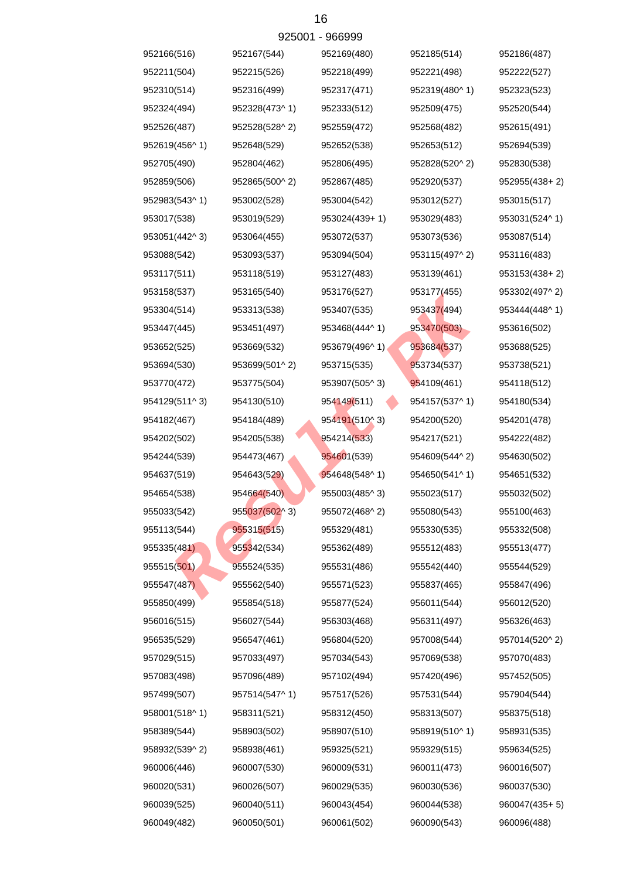|               |               | 929001 - 966999 |               |               |
|---------------|---------------|-----------------|---------------|---------------|
| 952166(516)   | 952167(544)   | 952169(480)     | 952185(514)   | 952186(487)   |
| 952211(504)   | 952215(526)   | 952218(499)     | 952221(498)   | 952222(527)   |
| 952310(514)   | 952316(499)   | 952317(471)     | 952319(480^1) | 952323(523)   |
| 952324(494)   | 952328(473^1) | 952333(512)     | 952509(475)   | 952520(544)   |
| 952526(487)   | 952528(528^2) | 952559(472)     | 952568(482)   | 952615(491)   |
| 952619(456^1) | 952648(529)   | 952652(538)     | 952653(512)   | 952694(539)   |
| 952705(490)   | 952804(462)   | 952806(495)     | 952828(520^2) | 952830(538)   |
| 952859(506)   | 952865(500^2) | 952867(485)     | 952920(537)   | 952955(438+2) |
| 952983(543^1) | 953002(528)   | 953004(542)     | 953012(527)   | 953015(517)   |
| 953017(538)   | 953019(529)   | 953024(439+1)   | 953029(483)   | 953031(524^1) |
| 953051(442^3) | 953064(455)   | 953072(537)     | 953073(536)   | 953087(514)   |
| 953088(542)   | 953093(537)   | 953094(504)     | 953115(497^2) | 953116(483)   |
| 953117(511)   | 953118(519)   | 953127(483)     | 953139(461)   | 953153(438+2) |
| 953158(537)   | 953165(540)   | 953176(527)     | 953177(455)   | 953302(497^2) |
| 953304(514)   | 953313(538)   | 953407(535)     | 953437(494)   | 953444(448^1) |
| 953447(445)   | 953451(497)   | 953468(444^1)   | 953470(503)   | 953616(502)   |
| 953652(525)   | 953669(532)   | 953679(496^1)   | 953684(537)   | 953688(525)   |
| 953694(530)   | 953699(501^2) | 953715(535)     | 953734(537)   | 953738(521)   |
| 953770(472)   | 953775(504)   | 953907(505^3)   | 954109(461)   | 954118(512)   |
| 954129(511^3) | 954130(510)   | 954149(511)     | 954157(537^1) | 954180(534)   |
| 954182(467)   | 954184(489)   | 954191(510^3)   | 954200(520)   | 954201(478)   |
| 954202(502)   | 954205(538)   | 954214(533)     | 954217(521)   | 954222(482)   |
| 954244(539)   | 954473(467)   | 954601(539)     | 954609(544^2) | 954630(502)   |
| 954637(519)   | 954643(529)   | 954648(548^1)   | 954650(541^1) | 954651(532)   |
| 954654(538)   | 954664(540)   | 955003(485^3)   | 955023(517)   | 955032(502)   |
| 955033(542)   | 955037(502^3) | 955072(468^2)   | 955080(543)   | 955100(463)   |
| 955113(544)   | 955315(515)   | 955329(481)     | 955330(535)   | 955332(508)   |
| 955335(481)   | 955342(534)   | 955362(489)     | 955512(483)   | 955513(477)   |
| 955515(501)   | 955524(535)   | 955531(486)     | 955542(440)   | 955544(529)   |
| 955547(487)   | 955562(540)   | 955571(523)     | 955837(465)   | 955847(496)   |
| 955850(499)   | 955854(518)   | 955877(524)     | 956011(544)   | 956012(520)   |
| 956016(515)   | 956027(544)   | 956303(468)     | 956311(497)   | 956326(463)   |
| 956535(529)   | 956547(461)   | 956804(520)     | 957008(544)   | 957014(520^2) |
| 957029(515)   | 957033(497)   | 957034(543)     | 957069(538)   | 957070(483)   |
| 957083(498)   | 957096(489)   | 957102(494)     | 957420(496)   | 957452(505)   |
| 957499(507)   | 957514(547^1) | 957517(526)     | 957531(544)   | 957904(544)   |
| 958001(518^1) | 958311(521)   | 958312(450)     | 958313(507)   | 958375(518)   |
| 958389(544)   | 958903(502)   | 958907(510)     | 958919(510^1) | 958931(535)   |
| 958932(539^2) | 958938(461)   | 959325(521)     | 959329(515)   | 959634(525)   |
| 960006(446)   | 960007(530)   | 960009(531)     | 960011(473)   | 960016(507)   |
| 960020(531)   | 960026(507)   | 960029(535)     | 960030(536)   | 960037(530)   |
| 960039(525)   | 960040(511)   | 960043(454)     | 960044(538)   | 960047(435+5) |
| 960049(482)   | 960050(501)   | 960061(502)     | 960090(543)   | 960096(488)   |

 $025001$   $066000$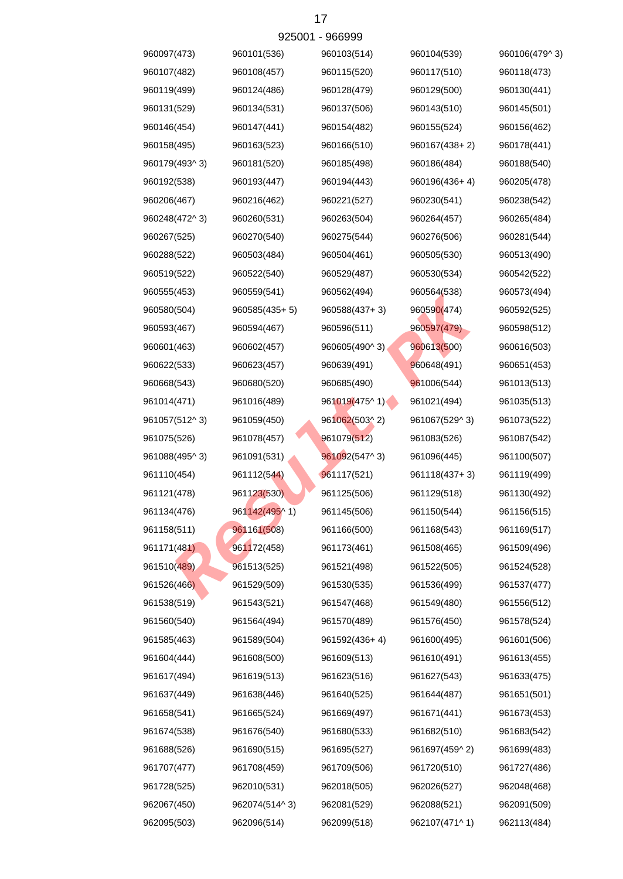|               |                 | 925001 - 966999 |               |               |
|---------------|-----------------|-----------------|---------------|---------------|
| 960097(473)   | 960101(536)     | 960103(514)     | 960104(539)   | 960106(479^3) |
| 960107(482)   | 960108(457)     | 960115(520)     | 960117(510)   | 960118(473)   |
| 960119(499)   | 960124(486)     | 960128(479)     | 960129(500)   | 960130(441)   |
| 960131(529)   | 960134(531)     | 960137(506)     | 960143(510)   | 960145(501)   |
| 960146(454)   | 960147(441)     | 960154(482)     | 960155(524)   | 960156(462)   |
| 960158(495)   | 960163(523)     | 960166(510)     | 960167(438+2) | 960178(441)   |
| 960179(493^3) | 960181(520)     | 960185(498)     | 960186(484)   | 960188(540)   |
| 960192(538)   | 960193(447)     | 960194(443)     | 960196(436+4) | 960205(478)   |
| 960206(467)   | 960216(462)     | 960221(527)     | 960230(541)   | 960238(542)   |
| 960248(472^3) | 960260(531)     | 960263(504)     | 960264(457)   | 960265(484)   |
| 960267(525)   | 960270(540)     | 960275(544)     | 960276(506)   | 960281(544)   |
| 960288(522)   | 960503(484)     | 960504(461)     | 960505(530)   | 960513(490)   |
| 960519(522)   | 960522(540)     | 960529(487)     | 960530(534)   | 960542(522)   |
| 960555(453)   | 960559(541)     | 960562(494)     | 960564(538)   | 960573(494)   |
| 960580(504)   | $960585(435+5)$ | 960588(437+3)   | 960590(474)   | 960592(525)   |
| 960593(467)   | 960594(467)     | 960596(511)     | 960597(479)   | 960598(512)   |
| 960601(463)   | 960602(457)     | 960605(490^3)   | 960613(500)   | 960616(503)   |
| 960622(533)   | 960623(457)     | 960639(491)     | 960648(491)   | 960651(453)   |
| 960668(543)   | 960680(520)     | 960685(490)     | 961006(544)   | 961013(513)   |
| 961014(471)   | 961016(489)     | 961019(475^1)   | 961021(494)   | 961035(513)   |
| 961057(512^3) | 961059(450)     | 961062(503^2)   | 961067(529^3) | 961073(522)   |
| 961075(526)   | 961078(457)     | 961079(512)     | 961083(526)   | 961087(542)   |
| 961088(495^3) | 961091(531)     | 961092(547^3)   | 961096(445)   | 961100(507)   |
| 961110(454)   | 961112(544)     | 961117(521)     | 961118(437+3) | 961119(499)   |
| 961121(478)   | 961123(530)     | 961125(506)     | 961129(518)   | 961130(492)   |
| 961134(476)   | 961142(495^1)   | 961145(506)     | 961150(544)   | 961156(515)   |
| 961158(511)   | 961161(508)     | 961166(500)     | 961168(543)   | 961169(517)   |
| 961171(481)   | 961172(458)     | 961173(461)     | 961508(465)   | 961509(496)   |
| 961510(489)   | 961513(525)     | 961521(498)     | 961522(505)   | 961524(528)   |
| 961526(466)   | 961529(509)     | 961530(535)     | 961536(499)   | 961537(477)   |
| 961538(519)   | 961543(521)     | 961547(468)     | 961549(480)   | 961556(512)   |
| 961560(540)   | 961564(494)     | 961570(489)     | 961576(450)   | 961578(524)   |
| 961585(463)   | 961589(504)     | 961592(436+4)   | 961600(495)   | 961601(506)   |
| 961604(444)   | 961608(500)     | 961609(513)     | 961610(491)   | 961613(455)   |
| 961617(494)   | 961619(513)     | 961623(516)     | 961627(543)   | 961633(475)   |
| 961637(449)   | 961638(446)     | 961640(525)     | 961644(487)   | 961651(501)   |
| 961658(541)   | 961665(524)     | 961669(497)     | 961671(441)   | 961673(453)   |
| 961674(538)   | 961676(540)     | 961680(533)     | 961682(510)   | 961683(542)   |
| 961688(526)   | 961690(515)     | 961695(527)     | 961697(459^2) | 961699(483)   |
| 961707(477)   | 961708(459)     | 961709(506)     | 961720(510)   | 961727(486)   |
| 961728(525)   | 962010(531)     | 962018(505)     | 962026(527)   | 962048(468)   |
| 962067(450)   | 962074(514^3)   | 962081(529)     | 962088(521)   | 962091(509)   |
| 962095(503)   | 962096(514)     | 962099(518)     | 962107(471^1) | 962113(484)   |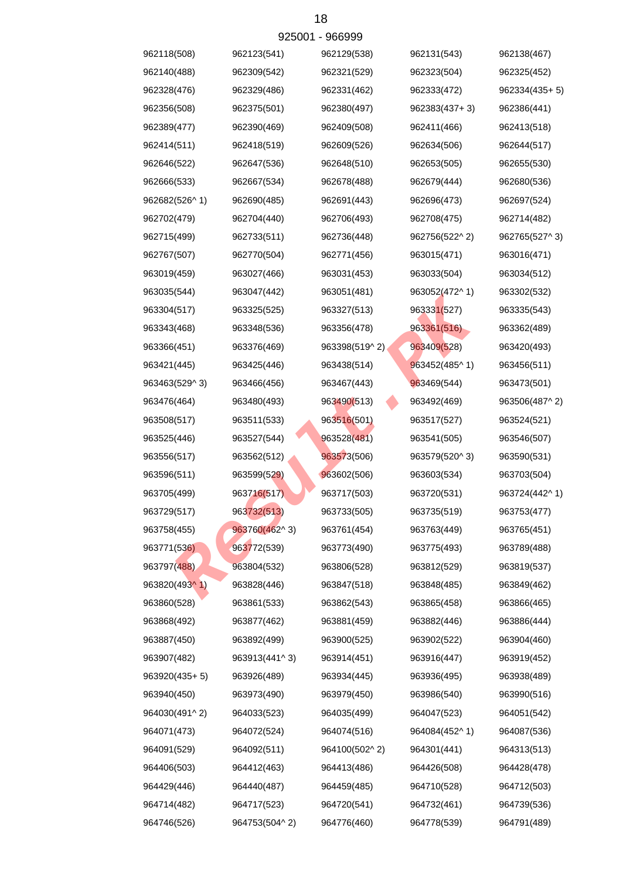|               |               | 925001 - 966999 |                         |               |
|---------------|---------------|-----------------|-------------------------|---------------|
| 962118(508)   | 962123(541)   | 962129(538)     | 962131(543)             | 962138(467)   |
| 962140(488)   | 962309(542)   | 962321(529)     | 962323(504)             | 962325(452)   |
| 962328(476)   | 962329(486)   | 962331(462)     | 962333(472)             | 962334(435+5) |
| 962356(508)   | 962375(501)   | 962380(497)     | 962383(437+3)           | 962386(441)   |
| 962389(477)   | 962390(469)   | 962409(508)     | 962411(466)             | 962413(518)   |
| 962414(511)   | 962418(519)   | 962609(526)     | 962634(506)             | 962644(517)   |
| 962646(522)   | 962647(536)   | 962648(510)     | 962653(505)             | 962655(530)   |
| 962666(533)   | 962667(534)   | 962678(488)     | 962679(444)             | 962680(536)   |
| 962682(526^1) | 962690(485)   | 962691(443)     | 962696(473)             | 962697(524)   |
| 962702(479)   | 962704(440)   | 962706(493)     | 962708(475)             | 962714(482)   |
| 962715(499)   | 962733(511)   | 962736(448)     | 962756(522^2)           | 962765(527^3) |
| 962767(507)   | 962770(504)   | 962771(456)     | 963015(471)             | 963016(471)   |
| 963019(459)   | 963027(466)   | 963031(453)     | 963033(504)             | 963034(512)   |
| 963035(544)   | 963047(442)   | 963051(481)     | 963052(472^1)           | 963302(532)   |
| 963304(517)   | 963325(525)   | 963327(513)     | 963331(527)             | 963335(543)   |
| 963343(468)   | 963348(536)   | 963356(478)     | 963361(516)             | 963362(489)   |
| 963366(451)   | 963376(469)   | 963398(519^2)   | 963409(528)             | 963420(493)   |
| 963421(445)   | 963425(446)   | 963438(514)     | $963452(485^{\circ} 1)$ | 963456(511)   |
| 963463(529^3) | 963466(456)   | 963467(443)     | 963469(544)             | 963473(501)   |
| 963476(464)   | 963480(493)   | 963490(513)     | 963492(469)             | 963506(487^2) |
| 963508(517)   | 963511(533)   | 963516(501)     | 963517(527)             | 963524(521)   |
| 963525(446)   | 963527(544)   | 963528(481)     | 963541(505)             | 963546(507)   |
| 963556(517)   | 963562(512)   | 963573(506)     | 963579(520^3)           | 963590(531)   |
| 963596(511)   | 963599(529)   | 963602(506)     | 963603(534)             | 963703(504)   |
| 963705(499)   | 963716(517)   | 963717(503)     | 963720(531)             | 963724(442^1) |
| 963729(517)   | 963732(513)   | 963733(505)     | 963735(519)             | 963753(477)   |
| 963758(455)   | 963760(462^3) | 963761(454)     | 963763(449)             | 963765(451)   |
| 963771(536)   | 963772(539)   | 963773(490)     | 963775(493)             | 963789(488)   |
| 963797(488)   | 963804(532)   | 963806(528)     | 963812(529)             | 963819(537)   |
| 963820(493^1) | 963828(446)   | 963847(518)     | 963848(485)             | 963849(462)   |
| 963860(528)   | 963861(533)   | 963862(543)     | 963865(458)             | 963866(465)   |
| 963868(492)   | 963877(462)   | 963881(459)     | 963882(446)             | 963886(444)   |
| 963887(450)   | 963892(499)   | 963900(525)     | 963902(522)             | 963904(460)   |
| 963907(482)   | 963913(441^3) | 963914(451)     | 963916(447)             | 963919(452)   |
| 963920(435+5) | 963926(489)   | 963934(445)     | 963936(495)             | 963938(489)   |
| 963940(450)   | 963973(490)   | 963979(450)     | 963986(540)             | 963990(516)   |
| 964030(491^2) | 964033(523)   | 964035(499)     | 964047(523)             | 964051(542)   |
| 964071(473)   | 964072(524)   | 964074(516)     | 964084(452^1)           | 964087(536)   |
| 964091(529)   | 964092(511)   | 964100(502^2)   | 964301(441)             | 964313(513)   |
| 964406(503)   | 964412(463)   | 964413(486)     | 964426(508)             | 964428(478)   |
| 964429(446)   | 964440(487)   | 964459(485)     | 964710(528)             | 964712(503)   |
| 964714(482)   | 964717(523)   | 964720(541)     | 964732(461)             | 964739(536)   |
| 964746(526)   | 964753(504^2) | 964776(460)     | 964778(539)             | 964791(489)   |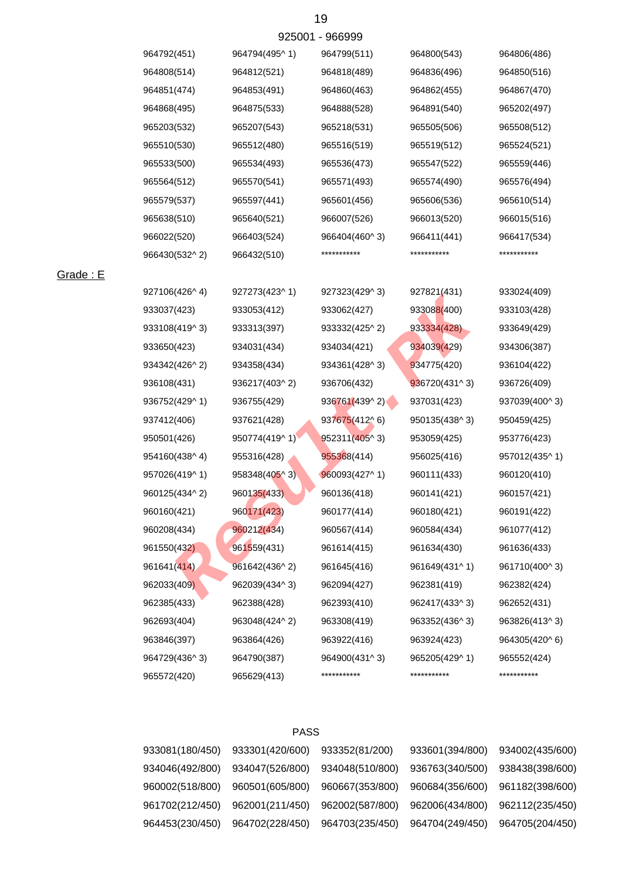| 964792(451)   | 964794(495^1) | 964799(511)   | 964800(543)   | 964806(486)   |
|---------------|---------------|---------------|---------------|---------------|
| 964808(514)   | 964812(521)   | 964818(489)   | 964836(496)   | 964850(516)   |
| 964851(474)   | 964853(491)   | 964860(463)   | 964862(455)   | 964867(470)   |
| 964868(495)   | 964875(533)   | 964888(528)   | 964891(540)   | 965202(497)   |
| 965203(532)   | 965207(543)   | 965218(531)   | 965505(506)   | 965508(512)   |
| 965510(530)   | 965512(480)   | 965516(519)   | 965519(512)   | 965524(521)   |
| 965533(500)   | 965534(493)   | 965536(473)   | 965547(522)   | 965559(446)   |
| 965564(512)   | 965570(541)   | 965571(493)   | 965574(490)   | 965576(494)   |
| 965579(537)   | 965597(441)   | 965601(456)   | 965606(536)   | 965610(514)   |
| 965638(510)   | 965640(521)   | 966007(526)   | 966013(520)   | 966015(516)   |
| 966022(520)   | 966403(524)   | 966404(460^3) | 966411(441)   | 966417(534)   |
| 966430(532^2) | 966432(510)   | ***********   | ***********   | ***********   |
|               |               |               |               |               |
| 927106(426^4) | 927273(423^1) | 927323(429^3) | 927821(431)   | 933024(409)   |
| 933037(423)   | 933053(412)   | 933062(427)   | 933088(400)   | 933103(428)   |
| 933108(419^3) | 933313(397)   | 933332(425^2) | 933334(428)   | 933649(429)   |
| 933650(423)   | 934031(434)   | 934034(421)   | 934039(429)   | 934306(387)   |
| 934342(426^2) | 934358(434)   | 934361(428^3) | 934775(420)   | 936104(422)   |
| 936108(431)   | 936217(403^2) | 936706(432)   | 936720(431^3) | 936726(409)   |
| 936752(429^1) | 936755(429)   | 936761(439^2) | 937031(423)   | 937039(400^3) |
| 937412(406)   | 937621(428)   | 937675(412^6) | 950135(438^3) | 950459(425)   |
| 950501(426)   | 950774(419^1) | 952311(405^3) | 953059(425)   | 953776(423)   |
| 954160(438^4) | 955316(428)   | 955368(414)   | 956025(416)   | 957012(435^1) |
| 957026(419^1) | 958348(405^3) | 960093(427^1) | 960111(433)   | 960120(410)   |
| 960125(434^2) | 960135(433)   | 960136(418)   | 960141(421)   | 960157(421)   |
| 960160(421)   | 960171(423)   | 960177(414)   | 960180(421)   | 960191(422)   |
| 960208(434)   | 960212(434)   | 960567(414)   | 960584(434)   | 961077(412)   |
| 961550(432)   | 961559(431)   | 961614(415)   | 961634(430)   | 961636(433)   |
| 961641(414)   | 961642(436^2) | 961645(416)   | 961649(431^1) | 961710(400^3) |
| 962033(409)   | 962039(434^3) | 962094(427)   | 962381(419)   | 962382(424)   |
| 962385(433)   | 962388(428)   | 962393(410)   | 962417(433^3) | 962652(431)   |
| 962693(404)   | 963048(424^2) | 963308(419)   | 963352(436^3) | 963826(413^3) |
| 963846(397)   | 963864(426)   | 963922(416)   | 963924(423)   | 964305(420^6) |
| 964729(436^3) | 964790(387)   | 964900(431^3) | 965205(429^1) | 965552(424)   |
| 965572(420)   | 965629(413)   | ***********   | ***********   | ***********   |

# Grade : E

## PASS

| 933081(180/450) | 933301(420/600) | 933352(81/200)  | 933601(394/800) | 934002(435/600) |
|-----------------|-----------------|-----------------|-----------------|-----------------|
| 934046(492/800) | 934047(526/800) | 934048(510/800) | 936763(340/500) | 938438(398/600) |
| 960002(518/800) | 960501(605/800) | 960667(353/800) | 960684(356/600) | 961182(398/600) |
| 961702(212/450) | 962001(211/450) | 962002(587/800) | 962006(434/800) | 962112(235/450) |
| 964453(230/450) | 964702(228/450) | 964703(235/450) | 964704(249/450) | 964705(204/450) |